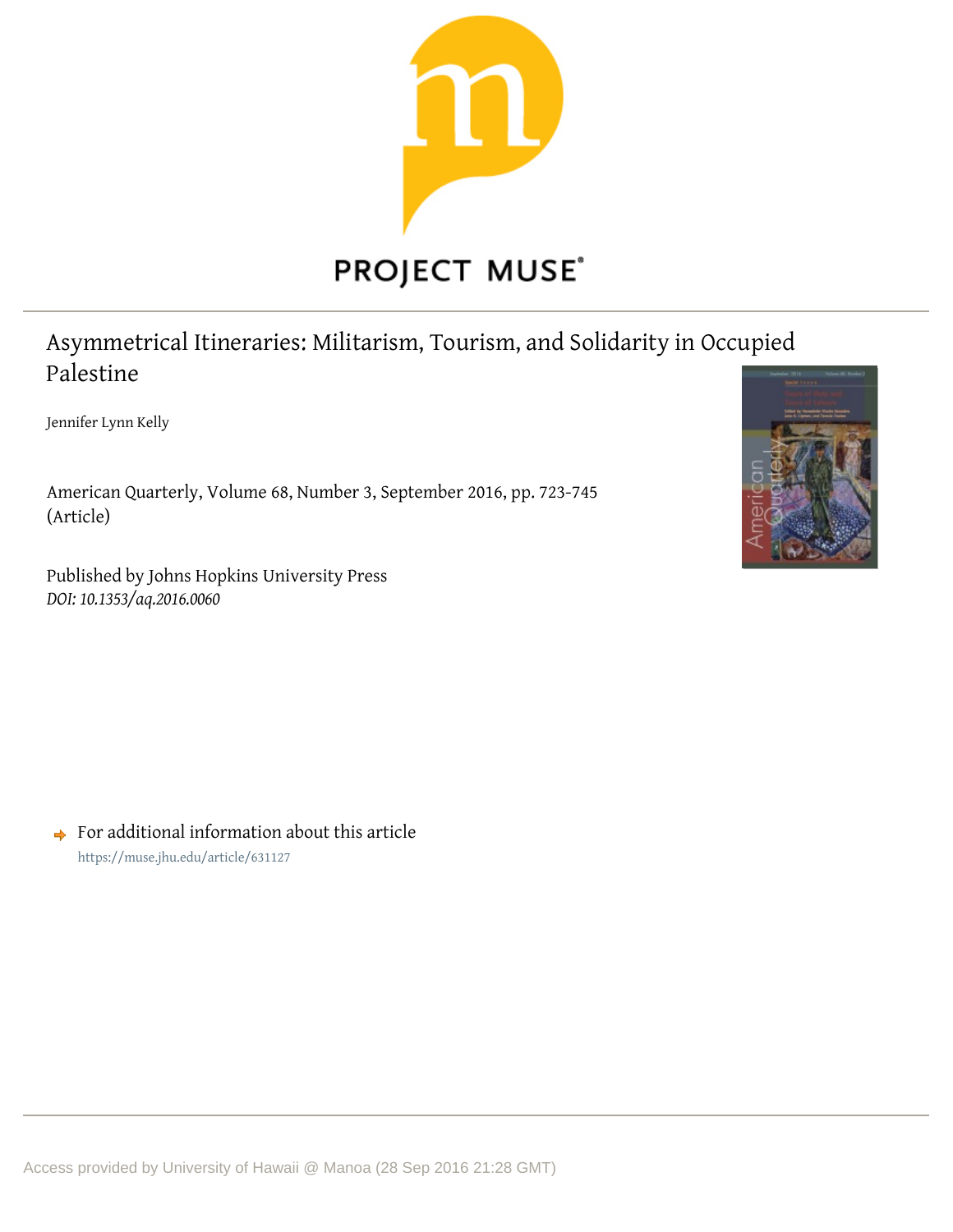

# **PROJECT MUSE®**

Asymmetrical Itineraries: Militarism, Tourism, and Solidarity in Occupied Palestine

Jennifer Lynn Kelly

American Quarterly, Volume 68, Number 3, September 2016, pp. 723-745 (Article)

Published by Johns Hopkins University Press DOI: 10.1353/aq.2016.0060



 $\rightarrow$  For additional information about this article https://muse.jhu.edu/article/631127

Access provided by University of Hawaii @ Manoa (28 Sep 2016 21:28 GMT)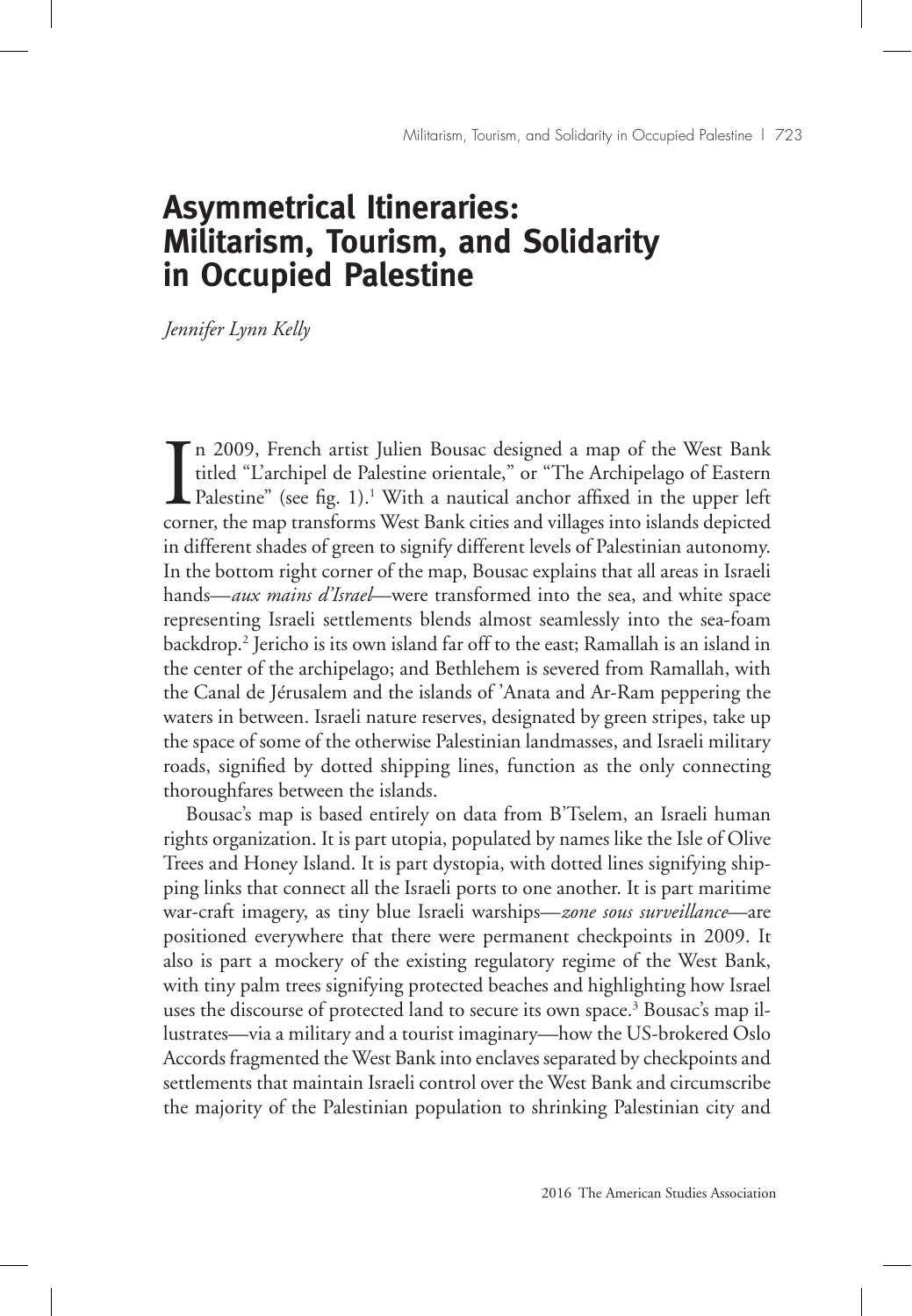# **Asymmetrical Itineraries: Militarism, Tourism, and Solidarity in Occupied Palestine**

*Jennifer Lynn Kelly*

I<sub>corr</sub> n 2009, French artist Julien Bousac designed a map of the West Bank titled "L'archipel de Palestine orientale," or "The Archipelago of Eastern Palestine" (see fig. 1).<sup>1</sup> With a nautical anchor affixed in the upper left corner, the map transforms West Bank cities and villages into islands depicted in different shades of green to signify different levels of Palestinian autonomy. In the bottom right corner of the map, Bousac explains that all areas in Israeli hands—*aux mains d'Israel*—were transformed into the sea, and white space representing Israeli settlements blends almost seamlessly into the sea-foam backdrop.2 Jericho is its own island far off to the east; Ramallah is an island in the center of the archipelago; and Bethlehem is severed from Ramallah, with the Canal de Jérusalem and the islands of 'Anata and Ar-Ram peppering the waters in between. Israeli nature reserves, designated by green stripes, take up the space of some of the otherwise Palestinian landmasses, and Israeli military roads, signified by dotted shipping lines, function as the only connecting thoroughfares between the islands.

Bousac's map is based entirely on data from B'Tselem, an Israeli human rights organization. It is part utopia, populated by names like the Isle of Olive Trees and Honey Island. It is part dystopia, with dotted lines signifying shipping links that connect all the Israeli ports to one another. It is part maritime war-craft imagery, as tiny blue Israeli warships—*zone sous surveillance*—are positioned everywhere that there were permanent checkpoints in 2009. It also is part a mockery of the existing regulatory regime of the West Bank, with tiny palm trees signifying protected beaches and highlighting how Israel uses the discourse of protected land to secure its own space.<sup>3</sup> Bousac's map illustrates—via a military and a tourist imaginary—how the US-brokered Oslo Accords fragmented the West Bank into enclaves separated by checkpoints and settlements that maintain Israeli control over the West Bank and circumscribe the majority of the Palestinian population to shrinking Palestinian city and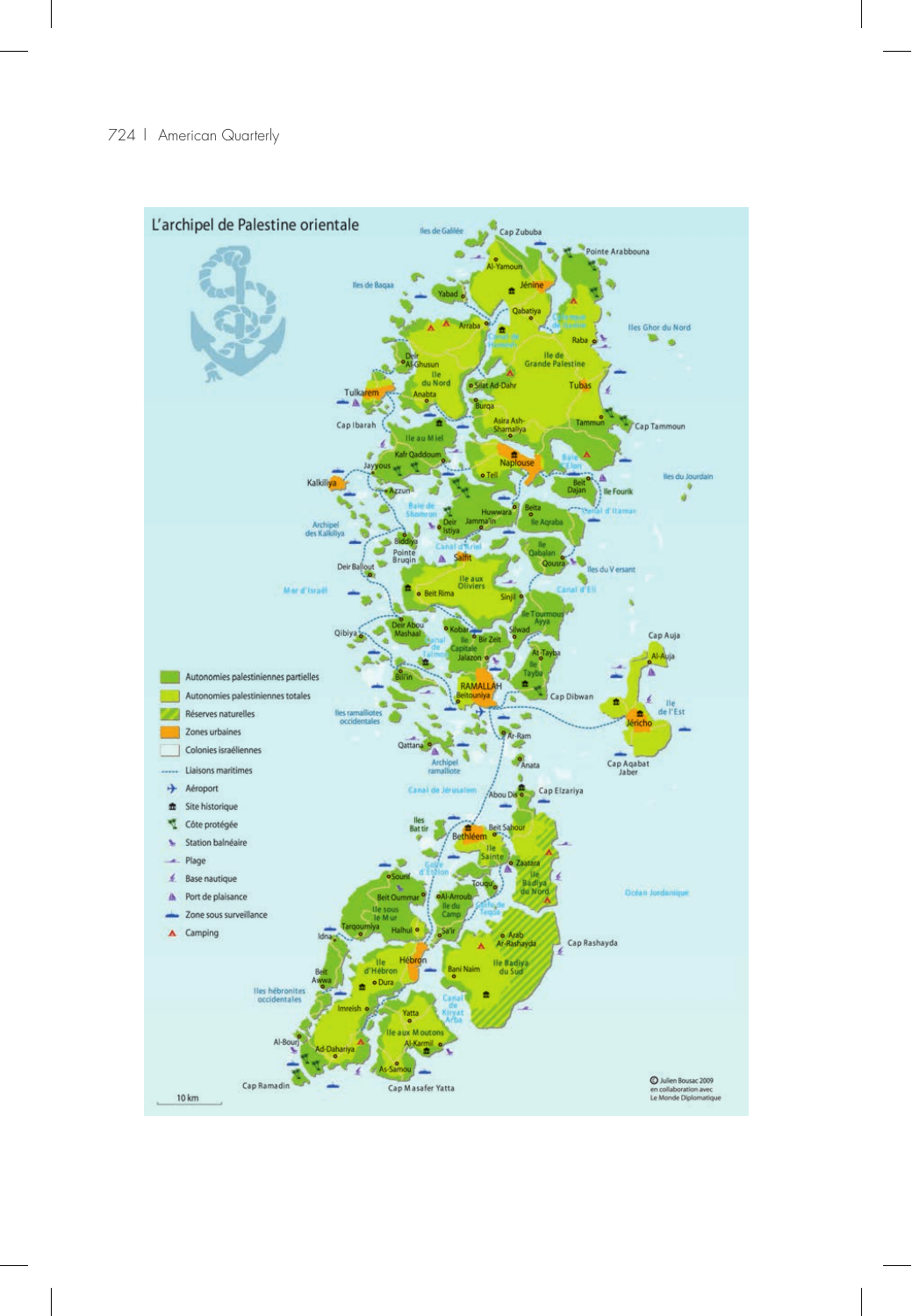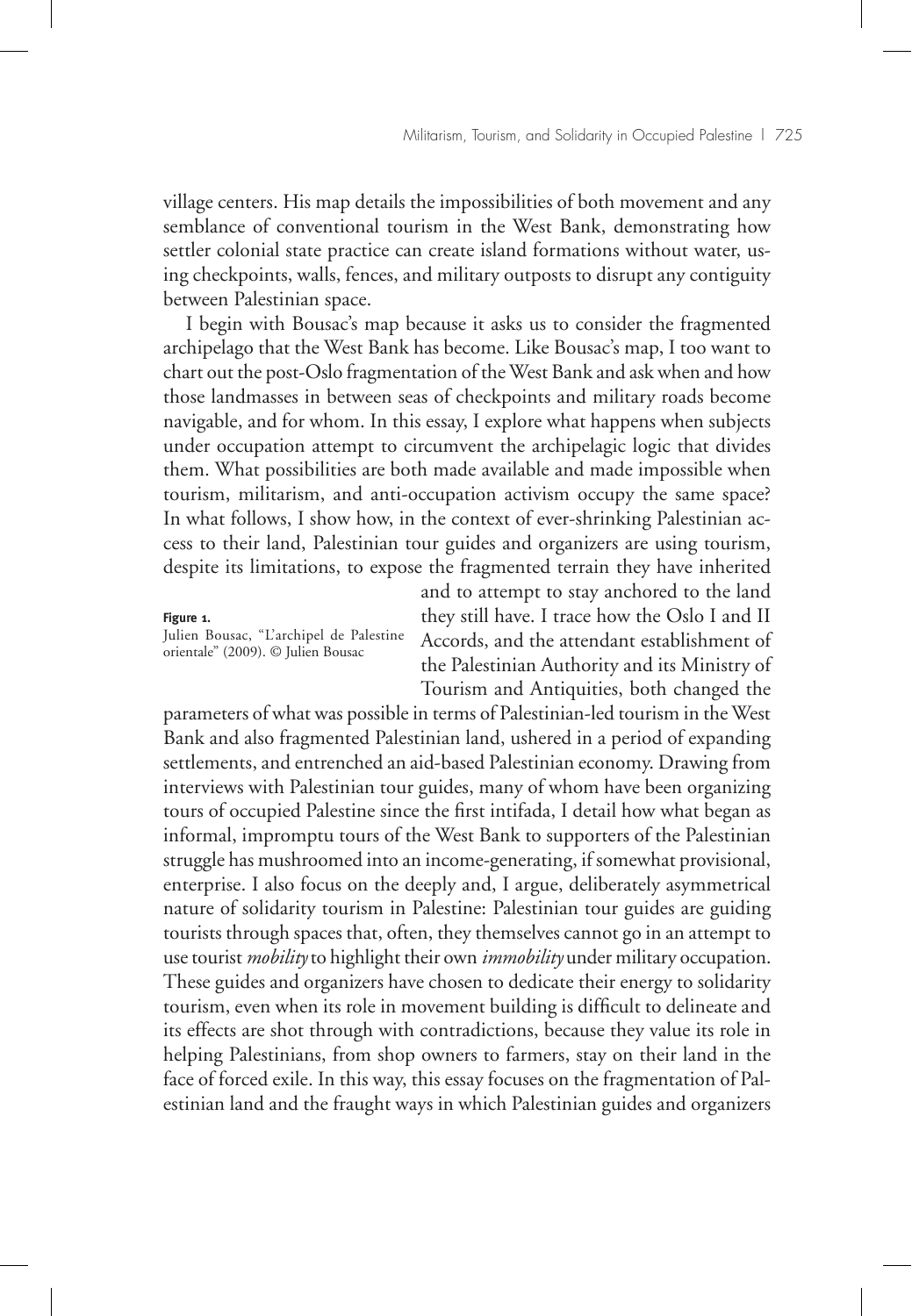village centers. His map details the impossibilities of both movement and any semblance of conventional tourism in the West Bank, demonstrating how settler colonial state practice can create island formations without water, using checkpoints, walls, fences, and military outposts to disrupt any contiguity between Palestinian space.

I begin with Bousac's map because it asks us to consider the fragmented archipelago that the West Bank has become. Like Bousac's map, I too want to chart out the post-Oslo fragmentation of the West Bank and ask when and how those landmasses in between seas of checkpoints and military roads become navigable, and for whom. In this essay, I explore what happens when subjects under occupation attempt to circumvent the archipelagic logic that divides them. What possibilities are both made available and made impossible when tourism, militarism, and anti-occupation activism occupy the same space? In what follows, I show how, in the context of ever-shrinking Palestinian access to their land, Palestinian tour guides and organizers are using tourism, despite its limitations, to expose the fragmented terrain they have inherited

#### **Figure 1.**

Julien Bousac, "L'archipel de Palestine orientale" (2009). © Julien Bousac

and to attempt to stay anchored to the land they still have. I trace how the Oslo I and II Accords, and the attendant establishment of the Palestinian Authority and its Ministry of Tourism and Antiquities, both changed the

parameters of what was possible in terms of Palestinian-led tourism in the West Bank and also fragmented Palestinian land, ushered in a period of expanding settlements, and entrenched an aid-based Palestinian economy. Drawing from interviews with Palestinian tour guides, many of whom have been organizing tours of occupied Palestine since the first intifada, I detail how what began as informal, impromptu tours of the West Bank to supporters of the Palestinian struggle has mushroomed into an income-generating, if somewhat provisional, enterprise. I also focus on the deeply and, I argue, deliberately asymmetrical nature of solidarity tourism in Palestine: Palestinian tour guides are guiding tourists through spaces that, often, they themselves cannot go in an attempt to use tourist *mobility* to highlight their own *immobility* under military occupation. These guides and organizers have chosen to dedicate their energy to solidarity tourism, even when its role in movement building is difficult to delineate and its effects are shot through with contradictions, because they value its role in helping Palestinians, from shop owners to farmers, stay on their land in the face of forced exile. In this way, this essay focuses on the fragmentation of Palestinian land and the fraught ways in which Palestinian guides and organizers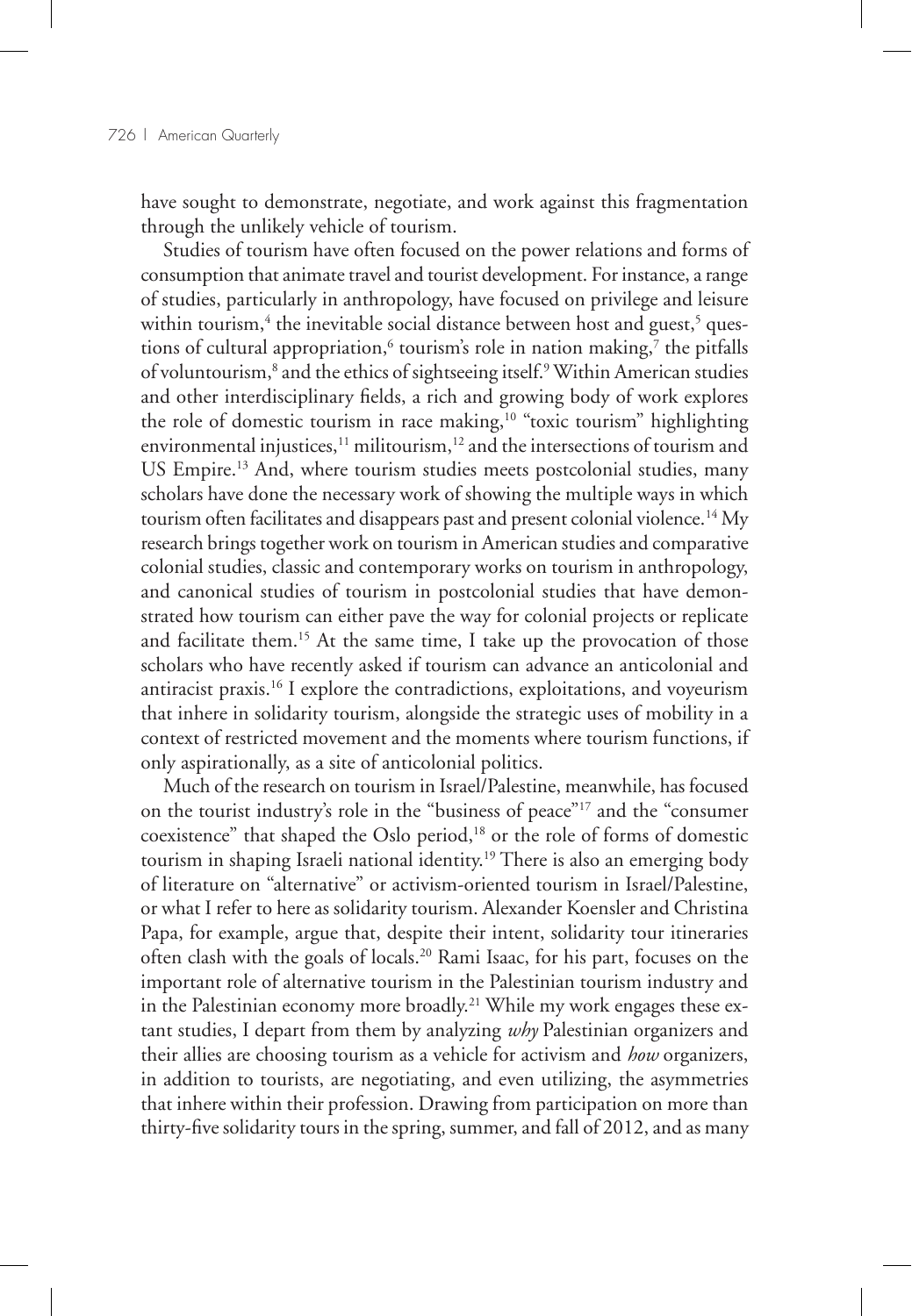have sought to demonstrate, negotiate, and work against this fragmentation through the unlikely vehicle of tourism.

Studies of tourism have often focused on the power relations and forms of consumption that animate travel and tourist development. For instance, a range of studies, particularly in anthropology, have focused on privilege and leisure within tourism,<sup>4</sup> the inevitable social distance between host and guest,<sup>5</sup> questions of cultural appropriation,<sup>6</sup> tourism's role in nation making,<sup>7</sup> the pitfalls of voluntourism,<sup>8</sup> and the ethics of sightseeing itself.<sup>9</sup> Within American studies and other interdisciplinary fields, a rich and growing body of work explores the role of domestic tourism in race making,<sup>10</sup> "toxic tourism" highlighting environmental injustices,<sup>11</sup> militourism,<sup>12</sup> and the intersections of tourism and US Empire.<sup>13</sup> And, where tourism studies meets postcolonial studies, many scholars have done the necessary work of showing the multiple ways in which tourism often facilitates and disappears past and present colonial violence.<sup>14</sup> My research brings together work on tourism in American studies and comparative colonial studies, classic and contemporary works on tourism in anthropology, and canonical studies of tourism in postcolonial studies that have demonstrated how tourism can either pave the way for colonial projects or replicate and facilitate them.15 At the same time, I take up the provocation of those scholars who have recently asked if tourism can advance an anticolonial and antiracist praxis.16 I explore the contradictions, exploitations, and voyeurism that inhere in solidarity tourism, alongside the strategic uses of mobility in a context of restricted movement and the moments where tourism functions, if only aspirationally, as a site of anticolonial politics.

Much of the research on tourism in Israel/Palestine, meanwhile, has focused on the tourist industry's role in the "business of peace"17 and the "consumer coexistence" that shaped the Oslo period,18 or the role of forms of domestic tourism in shaping Israeli national identity.19 There is also an emerging body of literature on "alternative" or activism-oriented tourism in Israel/Palestine, or what I refer to here as solidarity tourism. Alexander Koensler and Christina Papa, for example, argue that, despite their intent, solidarity tour itineraries often clash with the goals of locals.20 Rami Isaac, for his part, focuses on the important role of alternative tourism in the Palestinian tourism industry and in the Palestinian economy more broadly.<sup>21</sup> While my work engages these extant studies, I depart from them by analyzing *why* Palestinian organizers and their allies are choosing tourism as a vehicle for activism and *how* organizers, in addition to tourists, are negotiating, and even utilizing, the asymmetries that inhere within their profession. Drawing from participation on more than thirty-five solidarity tours in the spring, summer, and fall of 2012, and as many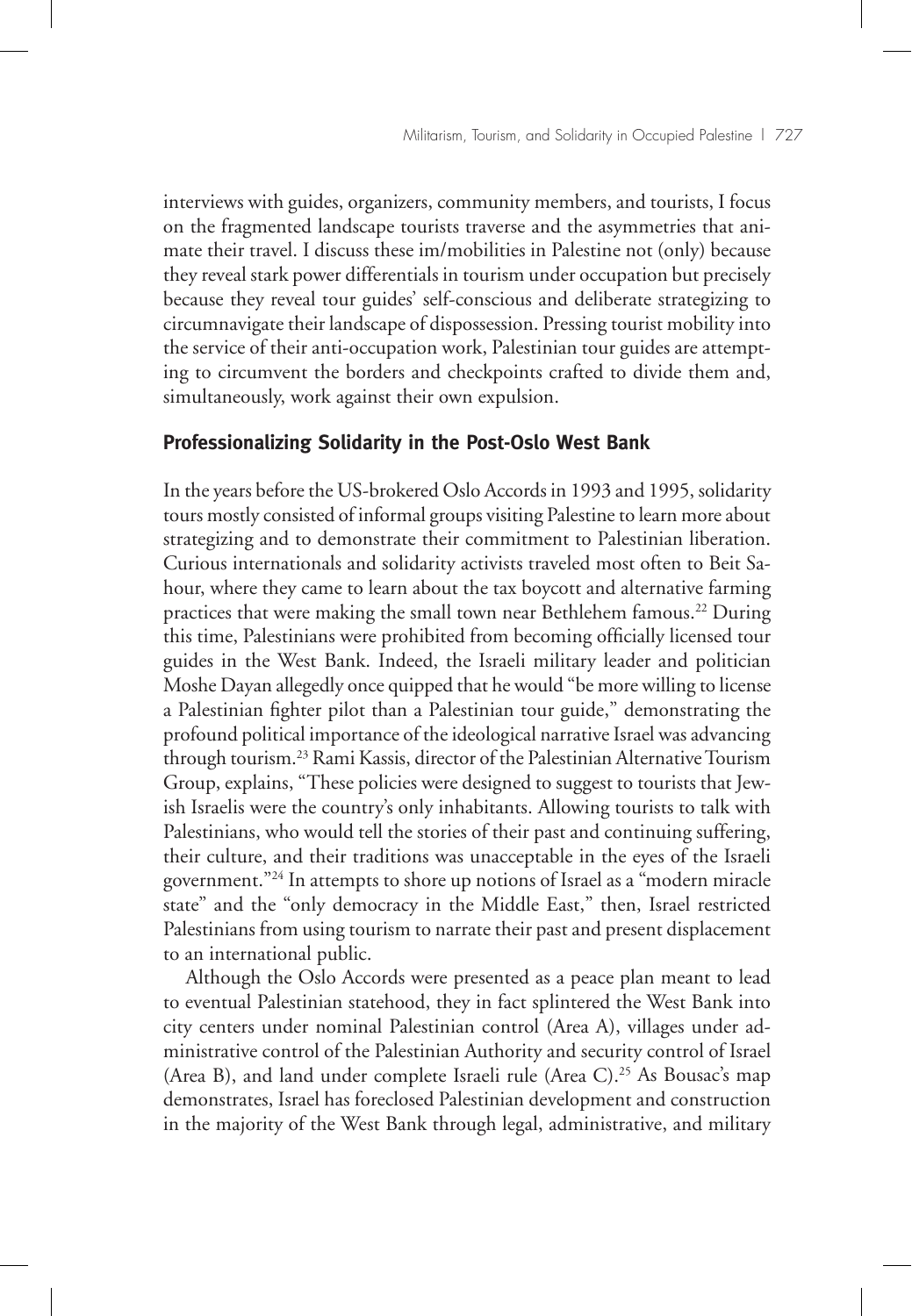interviews with guides, organizers, community members, and tourists, I focus on the fragmented landscape tourists traverse and the asymmetries that animate their travel. I discuss these im/mobilities in Palestine not (only) because they reveal stark power differentials in tourism under occupation but precisely because they reveal tour guides' self-conscious and deliberate strategizing to circumnavigate their landscape of dispossession. Pressing tourist mobility into the service of their anti-occupation work, Palestinian tour guides are attempting to circumvent the borders and checkpoints crafted to divide them and, simultaneously, work against their own expulsion.

#### **Professionalizing Solidarity in the Post-Oslo West Bank**

In the years before the US-brokered Oslo Accords in 1993 and 1995, solidarity tours mostly consisted of informal groups visiting Palestine to learn more about strategizing and to demonstrate their commitment to Palestinian liberation. Curious internationals and solidarity activists traveled most often to Beit Sahour, where they came to learn about the tax boycott and alternative farming practices that were making the small town near Bethlehem famous.<sup>22</sup> During this time, Palestinians were prohibited from becoming officially licensed tour guides in the West Bank. Indeed, the Israeli military leader and politician Moshe Dayan allegedly once quipped that he would "be more willing to license a Palestinian fighter pilot than a Palestinian tour guide," demonstrating the profound political importance of the ideological narrative Israel was advancing through tourism.23 Rami Kassis, director of the Palestinian Alternative Tourism Group, explains, "These policies were designed to suggest to tourists that Jewish Israelis were the country's only inhabitants. Allowing tourists to talk with Palestinians, who would tell the stories of their past and continuing suffering, their culture, and their traditions was unacceptable in the eyes of the Israeli government."24 In attempts to shore up notions of Israel as a "modern miracle state" and the "only democracy in the Middle East," then, Israel restricted Palestinians from using tourism to narrate their past and present displacement to an international public.

Although the Oslo Accords were presented as a peace plan meant to lead to eventual Palestinian statehood, they in fact splintered the West Bank into city centers under nominal Palestinian control (Area A), villages under administrative control of the Palestinian Authority and security control of Israel (Area B), and land under complete Israeli rule (Area C).<sup>25</sup> As Bousac's map demonstrates, Israel has foreclosed Palestinian development and construction in the majority of the West Bank through legal, administrative, and military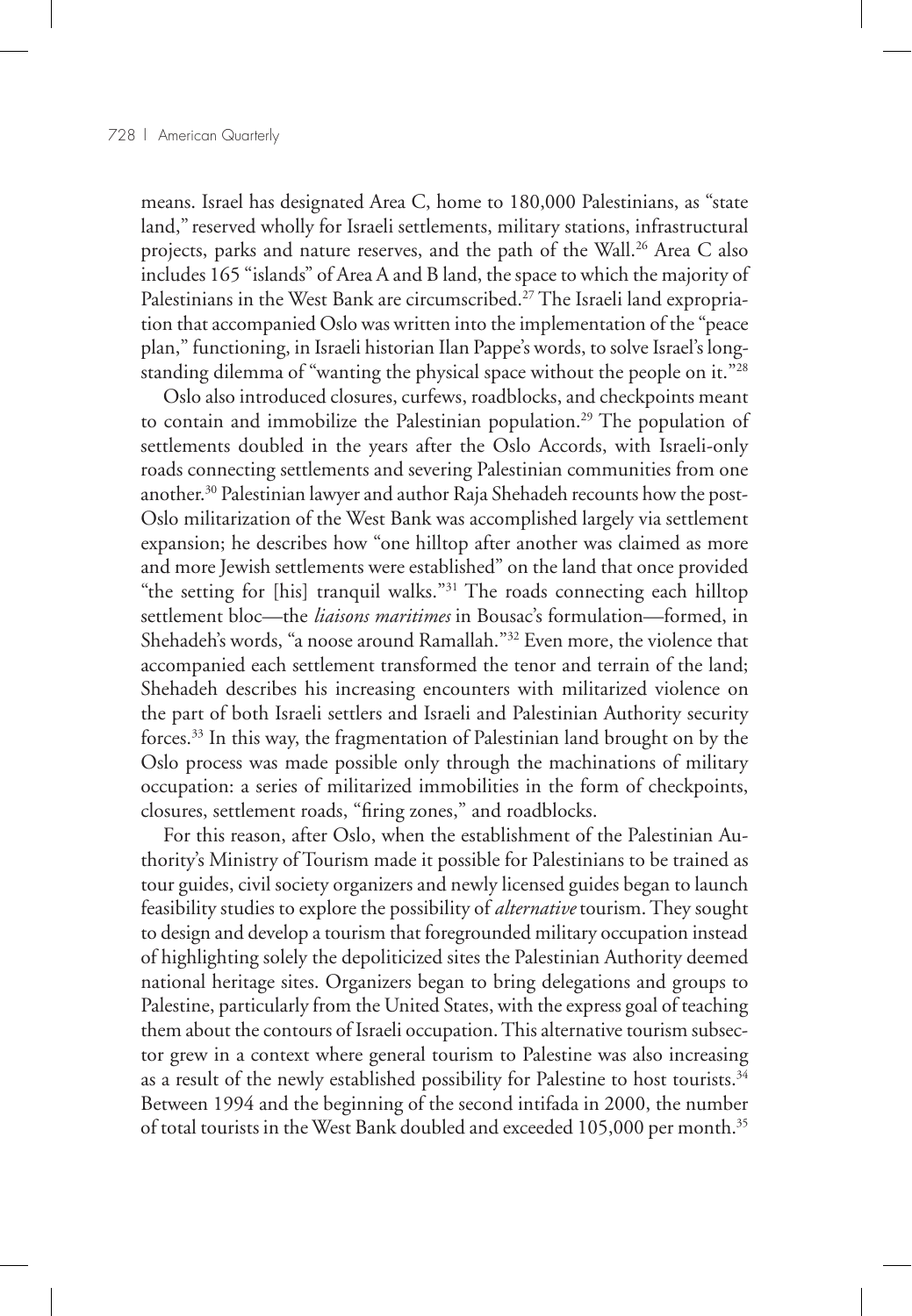means. Israel has designated Area C, home to 180,000 Palestinians, as "state land," reserved wholly for Israeli settlements, military stations, infrastructural projects, parks and nature reserves, and the path of the Wall.<sup>26</sup> Area C also includes 165 "islands" of Area A and B land, the space to which the majority of Palestinians in the West Bank are circumscribed.<sup>27</sup> The Israeli land expropriation that accompanied Oslo was written into the implementation of the "peace plan," functioning, in Israeli historian Ilan Pappe's words, to solve Israel's longstanding dilemma of "wanting the physical space without the people on it."28

Oslo also introduced closures, curfews, roadblocks, and checkpoints meant to contain and immobilize the Palestinian population.<sup>29</sup> The population of settlements doubled in the years after the Oslo Accords, with Israeli-only roads connecting settlements and severing Palestinian communities from one another.30 Palestinian lawyer and author Raja Shehadeh recounts how the post-Oslo militarization of the West Bank was accomplished largely via settlement expansion; he describes how "one hilltop after another was claimed as more and more Jewish settlements were established" on the land that once provided "the setting for [his] tranquil walks."31 The roads connecting each hilltop settlement bloc—the *liaisons maritimes* in Bousac's formulation—formed, in Shehadeh's words, "a noose around Ramallah."32 Even more, the violence that accompanied each settlement transformed the tenor and terrain of the land; Shehadeh describes his increasing encounters with militarized violence on the part of both Israeli settlers and Israeli and Palestinian Authority security forces.33 In this way, the fragmentation of Palestinian land brought on by the Oslo process was made possible only through the machinations of military occupation: a series of militarized immobilities in the form of checkpoints, closures, settlement roads, "firing zones," and roadblocks.

For this reason, after Oslo, when the establishment of the Palestinian Authority's Ministry of Tourism made it possible for Palestinians to be trained as tour guides, civil society organizers and newly licensed guides began to launch feasibility studies to explore the possibility of *alternative* tourism. They sought to design and develop a tourism that foregrounded military occupation instead of highlighting solely the depoliticized sites the Palestinian Authority deemed national heritage sites. Organizers began to bring delegations and groups to Palestine, particularly from the United States, with the express goal of teaching them about the contours of Israeli occupation. This alternative tourism subsector grew in a context where general tourism to Palestine was also increasing as a result of the newly established possibility for Palestine to host tourists.<sup>34</sup> Between 1994 and the beginning of the second intifada in 2000, the number of total tourists in the West Bank doubled and exceeded 105,000 per month.<sup>35</sup>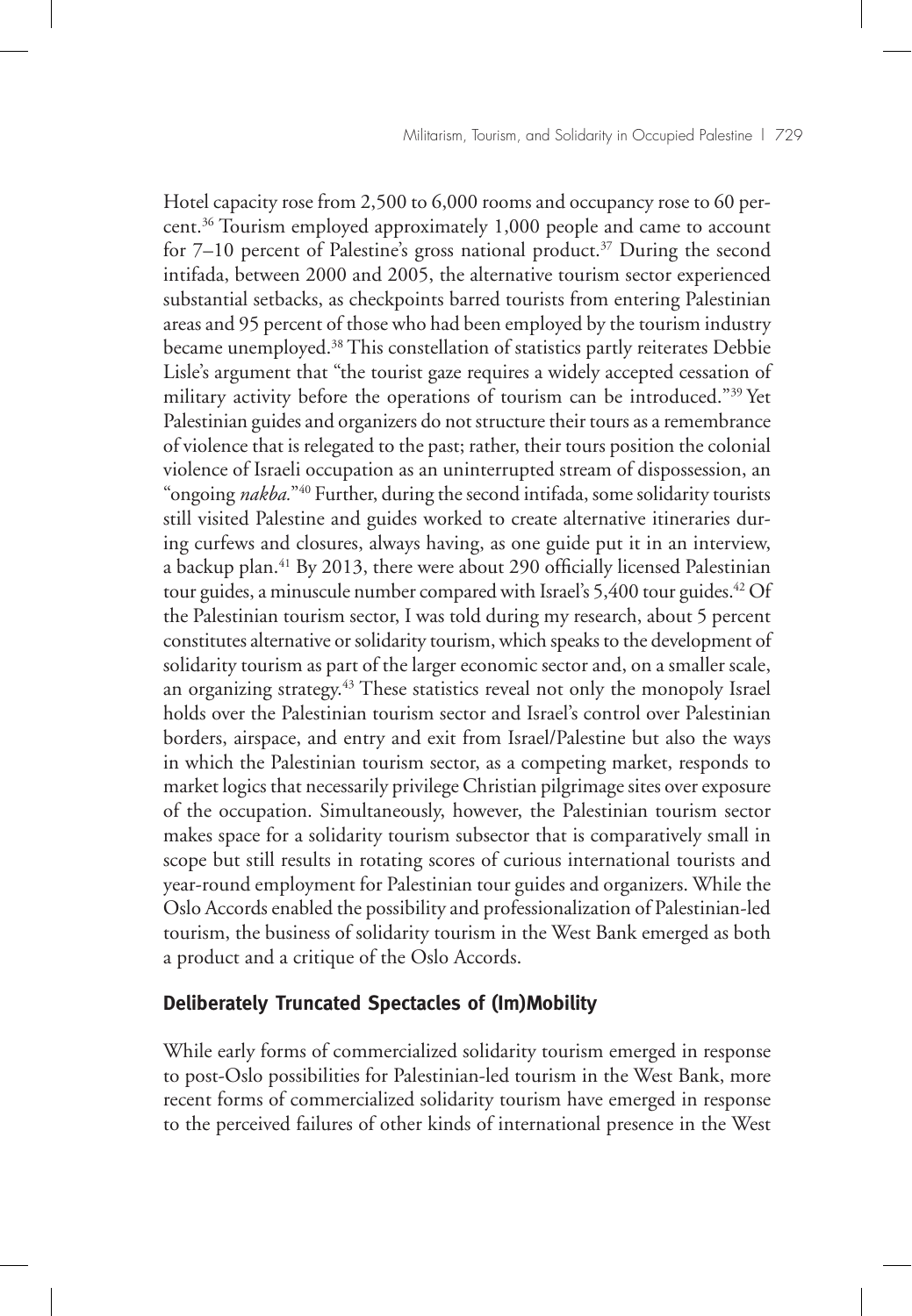Hotel capacity rose from 2,500 to 6,000 rooms and occupancy rose to 60 percent.36 Tourism employed approximately 1,000 people and came to account for  $7-10$  percent of Palestine's gross national product.<sup>37</sup> During the second intifada, between 2000 and 2005, the alternative tourism sector experienced substantial setbacks, as checkpoints barred tourists from entering Palestinian areas and 95 percent of those who had been employed by the tourism industry became unemployed.<sup>38</sup> This constellation of statistics partly reiterates Debbie Lisle's argument that "the tourist gaze requires a widely accepted cessation of military activity before the operations of tourism can be introduced."39 Yet Palestinian guides and organizers do not structure their tours as a remembrance of violence that is relegated to the past; rather, their tours position the colonial violence of Israeli occupation as an uninterrupted stream of dispossession, an "ongoing *nakba.*"40 Further, during the second intifada, some solidarity tourists still visited Palestine and guides worked to create alternative itineraries during curfews and closures, always having, as one guide put it in an interview, a backup plan.41 By 2013, there were about 290 officially licensed Palestinian tour guides, a minuscule number compared with Israel's 5,400 tour guides.<sup>42</sup> Of the Palestinian tourism sector, I was told during my research, about 5 percent constitutes alternative or solidarity tourism, which speaks to the development of solidarity tourism as part of the larger economic sector and, on a smaller scale, an organizing strategy.43 These statistics reveal not only the monopoly Israel holds over the Palestinian tourism sector and Israel's control over Palestinian borders, airspace, and entry and exit from Israel/Palestine but also the ways in which the Palestinian tourism sector, as a competing market, responds to market logics that necessarily privilege Christian pilgrimage sites over exposure of the occupation. Simultaneously, however, the Palestinian tourism sector makes space for a solidarity tourism subsector that is comparatively small in scope but still results in rotating scores of curious international tourists and year-round employment for Palestinian tour guides and organizers. While the Oslo Accords enabled the possibility and professionalization of Palestinian-led tourism, the business of solidarity tourism in the West Bank emerged as both a product and a critique of the Oslo Accords.

#### **Deliberately Truncated Spectacles of (Im)Mobility**

While early forms of commercialized solidarity tourism emerged in response to post-Oslo possibilities for Palestinian-led tourism in the West Bank, more recent forms of commercialized solidarity tourism have emerged in response to the perceived failures of other kinds of international presence in the West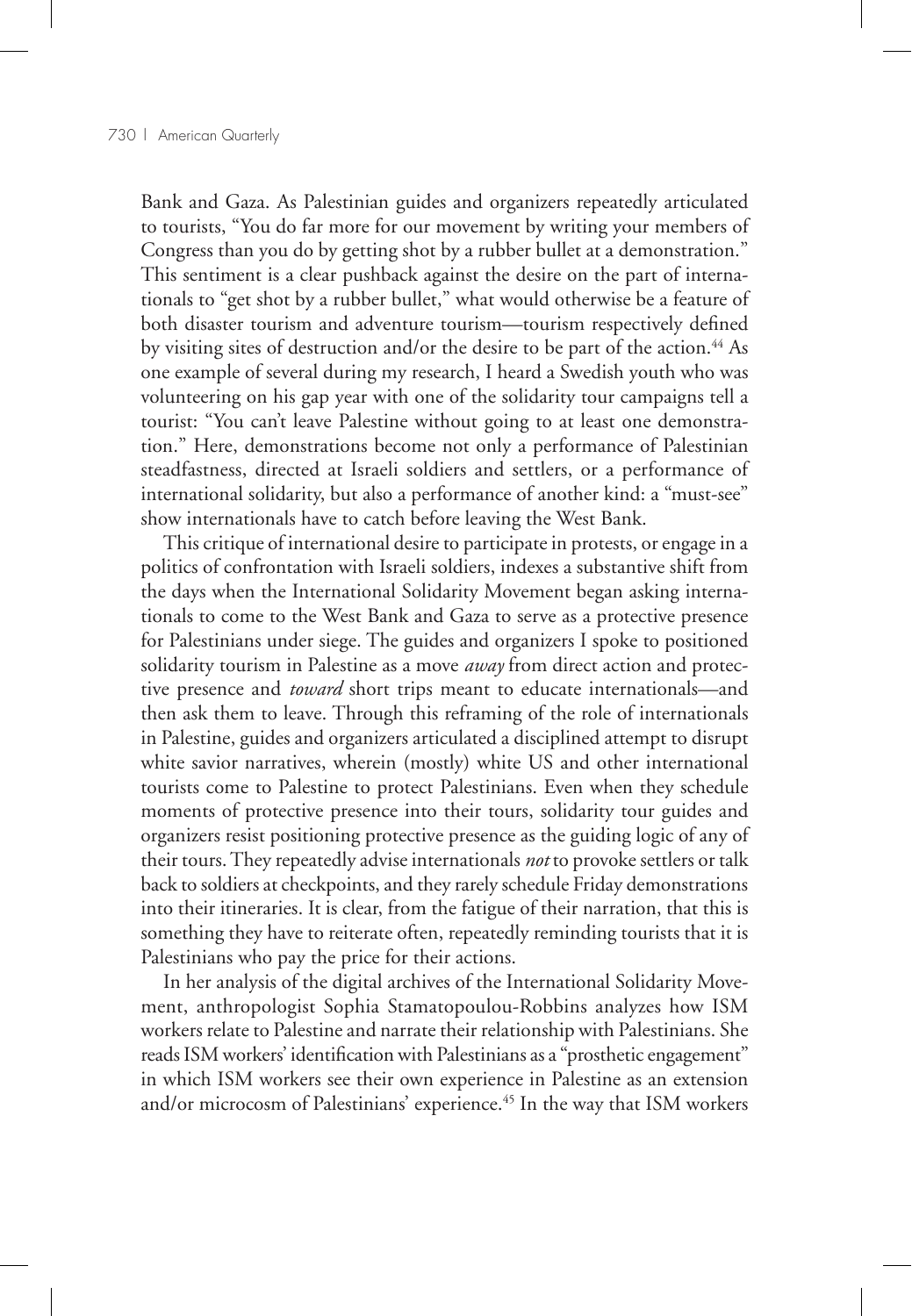Bank and Gaza. As Palestinian guides and organizers repeatedly articulated to tourists, "You do far more for our movement by writing your members of Congress than you do by getting shot by a rubber bullet at a demonstration." This sentiment is a clear pushback against the desire on the part of internationals to "get shot by a rubber bullet," what would otherwise be a feature of both disaster tourism and adventure tourism—tourism respectively defined by visiting sites of destruction and/or the desire to be part of the action.<sup>44</sup> As one example of several during my research, I heard a Swedish youth who was volunteering on his gap year with one of the solidarity tour campaigns tell a tourist: "You can't leave Palestine without going to at least one demonstration." Here, demonstrations become not only a performance of Palestinian steadfastness, directed at Israeli soldiers and settlers, or a performance of international solidarity, but also a performance of another kind: a "must-see" show internationals have to catch before leaving the West Bank.

This critique of international desire to participate in protests, or engage in a politics of confrontation with Israeli soldiers, indexes a substantive shift from the days when the International Solidarity Movement began asking internationals to come to the West Bank and Gaza to serve as a protective presence for Palestinians under siege. The guides and organizers I spoke to positioned solidarity tourism in Palestine as a move *away* from direct action and protective presence and *toward* short trips meant to educate internationals—and then ask them to leave. Through this reframing of the role of internationals in Palestine, guides and organizers articulated a disciplined attempt to disrupt white savior narratives, wherein (mostly) white US and other international tourists come to Palestine to protect Palestinians. Even when they schedule moments of protective presence into their tours, solidarity tour guides and organizers resist positioning protective presence as the guiding logic of any of their tours. They repeatedly advise internationals *not* to provoke settlers or talk back to soldiers at checkpoints, and they rarely schedule Friday demonstrations into their itineraries. It is clear, from the fatigue of their narration, that this is something they have to reiterate often, repeatedly reminding tourists that it is Palestinians who pay the price for their actions.

In her analysis of the digital archives of the International Solidarity Movement, anthropologist Sophia Stamatopoulou-Robbins analyzes how ISM workers relate to Palestine and narrate their relationship with Palestinians. She reads ISM workers' identification with Palestinians as a "prosthetic engagement" in which ISM workers see their own experience in Palestine as an extension and/or microcosm of Palestinians' experience.<sup>45</sup> In the way that ISM workers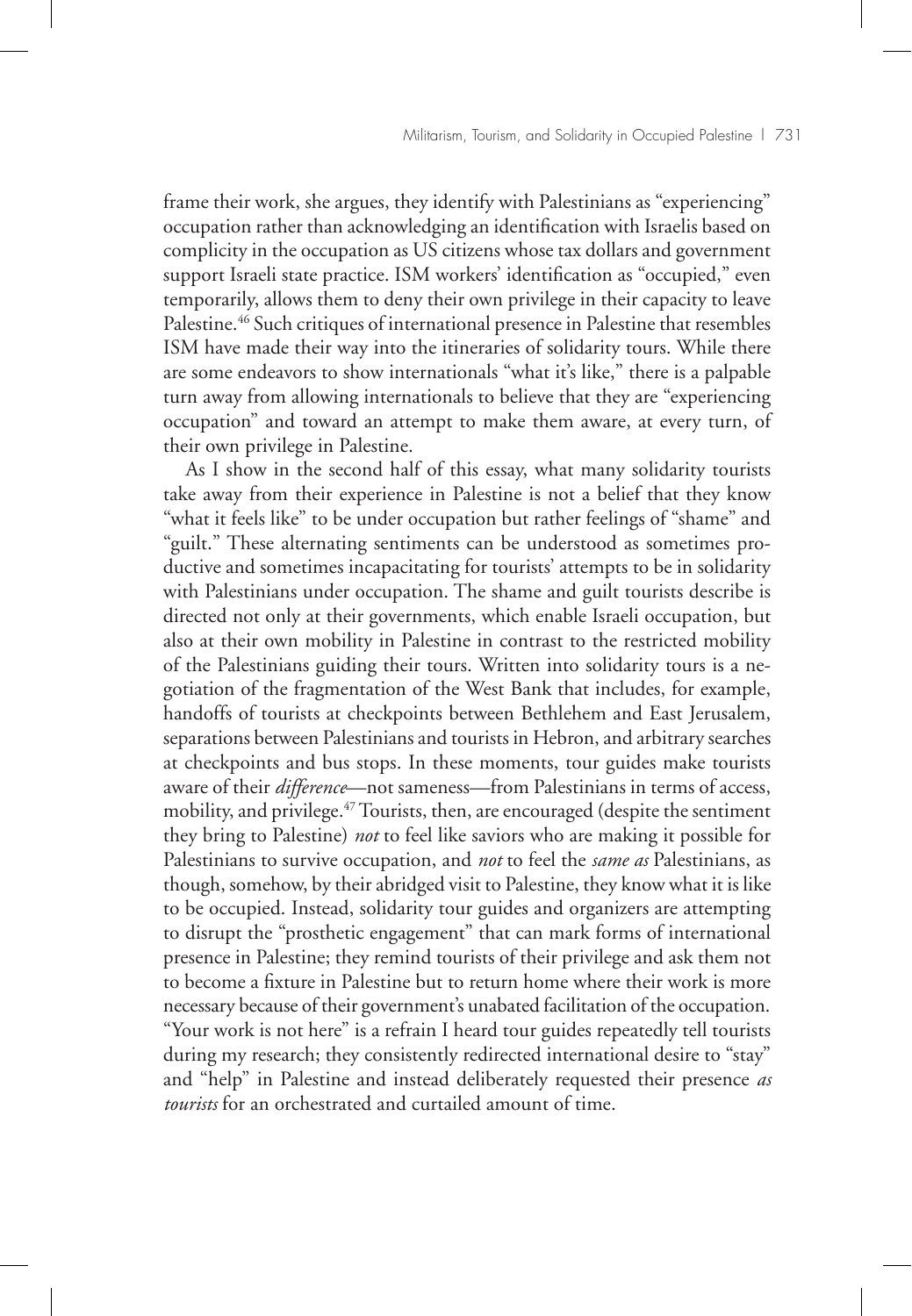frame their work, she argues, they identify with Palestinians as "experiencing" occupation rather than acknowledging an identification with Israelis based on complicity in the occupation as US citizens whose tax dollars and government support Israeli state practice. ISM workers' identification as "occupied," even temporarily, allows them to deny their own privilege in their capacity to leave Palestine.<sup>46</sup> Such critiques of international presence in Palestine that resembles ISM have made their way into the itineraries of solidarity tours. While there are some endeavors to show internationals "what it's like," there is a palpable turn away from allowing internationals to believe that they are "experiencing occupation" and toward an attempt to make them aware, at every turn, of their own privilege in Palestine.

As I show in the second half of this essay, what many solidarity tourists take away from their experience in Palestine is not a belief that they know "what it feels like" to be under occupation but rather feelings of "shame" and "guilt." These alternating sentiments can be understood as sometimes productive and sometimes incapacitating for tourists' attempts to be in solidarity with Palestinians under occupation. The shame and guilt tourists describe is directed not only at their governments, which enable Israeli occupation, but also at their own mobility in Palestine in contrast to the restricted mobility of the Palestinians guiding their tours. Written into solidarity tours is a negotiation of the fragmentation of the West Bank that includes, for example, handoffs of tourists at checkpoints between Bethlehem and East Jerusalem, separations between Palestinians and tourists in Hebron, and arbitrary searches at checkpoints and bus stops. In these moments, tour guides make tourists aware of their *difference*—not sameness—from Palestinians in terms of access, mobility, and privilege.<sup>47</sup> Tourists, then, are encouraged (despite the sentiment they bring to Palestine) *not* to feel like saviors who are making it possible for Palestinians to survive occupation, and *not* to feel the *same as* Palestinians, as though, somehow, by their abridged visit to Palestine, they know what it is like to be occupied. Instead, solidarity tour guides and organizers are attempting to disrupt the "prosthetic engagement" that can mark forms of international presence in Palestine; they remind tourists of their privilege and ask them not to become a fixture in Palestine but to return home where their work is more necessary because of their government's unabated facilitation of the occupation. "Your work is not here" is a refrain I heard tour guides repeatedly tell tourists during my research; they consistently redirected international desire to "stay" and "help" in Palestine and instead deliberately requested their presence *as tourists* for an orchestrated and curtailed amount of time.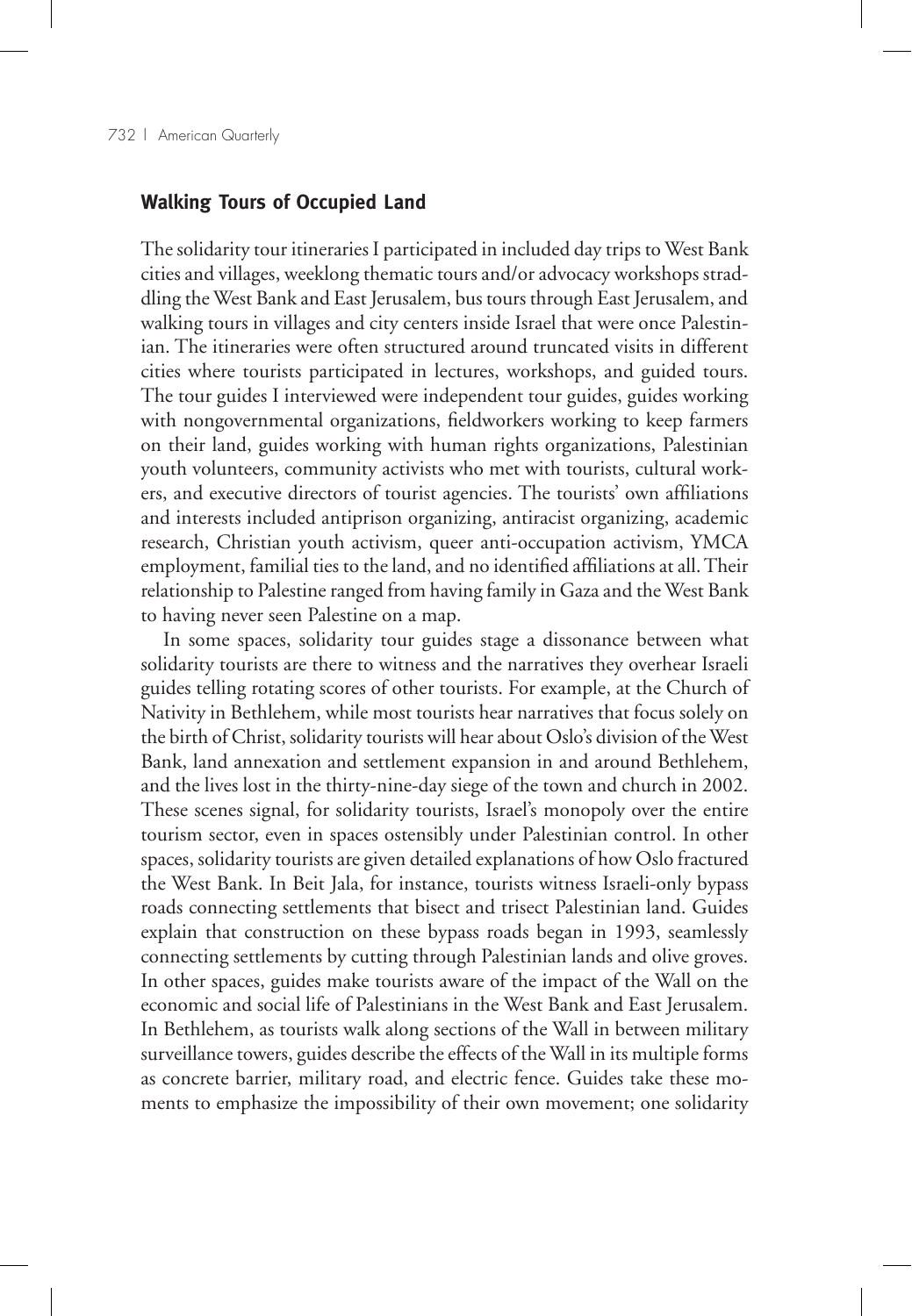#### **Walking Tours of Occupied Land**

The solidarity tour itineraries I participated in included day trips to West Bank cities and villages, weeklong thematic tours and/or advocacy workshops straddling the West Bank and East Jerusalem, bus tours through East Jerusalem, and walking tours in villages and city centers inside Israel that were once Palestinian. The itineraries were often structured around truncated visits in different cities where tourists participated in lectures, workshops, and guided tours. The tour guides I interviewed were independent tour guides, guides working with nongovernmental organizations, fieldworkers working to keep farmers on their land, guides working with human rights organizations, Palestinian youth volunteers, community activists who met with tourists, cultural workers, and executive directors of tourist agencies. The tourists' own affiliations and interests included antiprison organizing, antiracist organizing, academic research, Christian youth activism, queer anti-occupation activism, YMCA employment, familial ties to the land, and no identified affiliations at all. Their relationship to Palestine ranged from having family in Gaza and the West Bank to having never seen Palestine on a map.

In some spaces, solidarity tour guides stage a dissonance between what solidarity tourists are there to witness and the narratives they overhear Israeli guides telling rotating scores of other tourists. For example, at the Church of Nativity in Bethlehem, while most tourists hear narratives that focus solely on the birth of Christ, solidarity tourists will hear about Oslo's division of the West Bank, land annexation and settlement expansion in and around Bethlehem, and the lives lost in the thirty-nine-day siege of the town and church in 2002. These scenes signal, for solidarity tourists, Israel's monopoly over the entire tourism sector, even in spaces ostensibly under Palestinian control. In other spaces, solidarity tourists are given detailed explanations of how Oslo fractured the West Bank. In Beit Jala, for instance, tourists witness Israeli-only bypass roads connecting settlements that bisect and trisect Palestinian land. Guides explain that construction on these bypass roads began in 1993, seamlessly connecting settlements by cutting through Palestinian lands and olive groves. In other spaces, guides make tourists aware of the impact of the Wall on the economic and social life of Palestinians in the West Bank and East Jerusalem. In Bethlehem, as tourists walk along sections of the Wall in between military surveillance towers, guides describe the effects of the Wall in its multiple forms as concrete barrier, military road, and electric fence. Guides take these moments to emphasize the impossibility of their own movement; one solidarity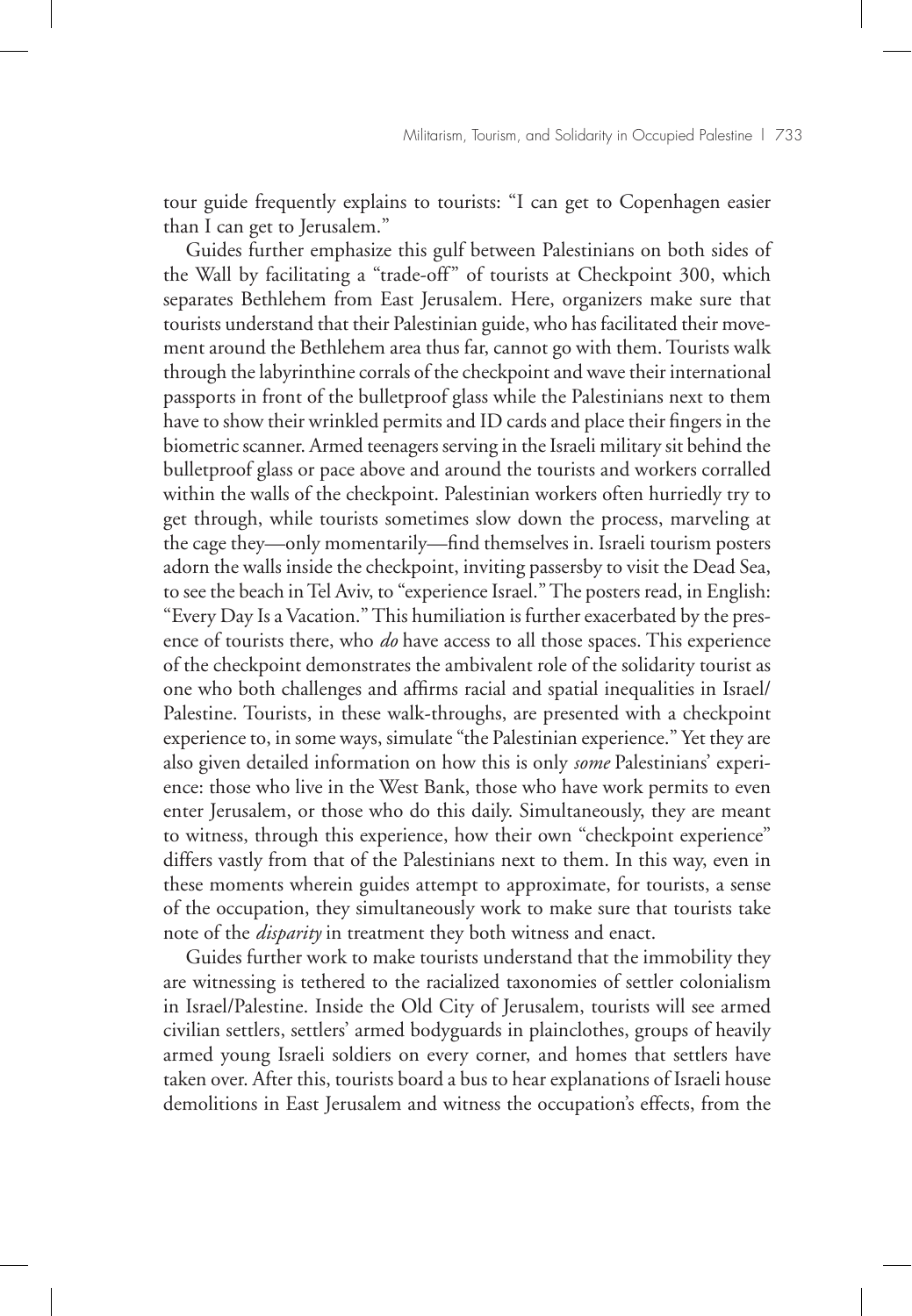tour guide frequently explains to tourists: "I can get to Copenhagen easier than I can get to Jerusalem."

Guides further emphasize this gulf between Palestinians on both sides of the Wall by facilitating a "trade-off" of tourists at Checkpoint 300, which separates Bethlehem from East Jerusalem. Here, organizers make sure that tourists understand that their Palestinian guide, who has facilitated their movement around the Bethlehem area thus far, cannot go with them. Tourists walk through the labyrinthine corrals of the checkpoint and wave their international passports in front of the bulletproof glass while the Palestinians next to them have to show their wrinkled permits and ID cards and place their fingers in the biometric scanner. Armed teenagers serving in the Israeli military sit behind the bulletproof glass or pace above and around the tourists and workers corralled within the walls of the checkpoint. Palestinian workers often hurriedly try to get through, while tourists sometimes slow down the process, marveling at the cage they—only momentarily—find themselves in. Israeli tourism posters adorn the walls inside the checkpoint, inviting passersby to visit the Dead Sea, to see the beach in Tel Aviv, to "experience Israel." The posters read, in English: "Every Day Is a Vacation." This humiliation is further exacerbated by the presence of tourists there, who *do* have access to all those spaces. This experience of the checkpoint demonstrates the ambivalent role of the solidarity tourist as one who both challenges and affirms racial and spatial inequalities in Israel/ Palestine. Tourists, in these walk-throughs, are presented with a checkpoint experience to, in some ways, simulate "the Palestinian experience." Yet they are also given detailed information on how this is only *some* Palestinians' experience: those who live in the West Bank, those who have work permits to even enter Jerusalem, or those who do this daily. Simultaneously, they are meant to witness, through this experience, how their own "checkpoint experience" differs vastly from that of the Palestinians next to them. In this way, even in these moments wherein guides attempt to approximate, for tourists, a sense of the occupation, they simultaneously work to make sure that tourists take note of the *disparity* in treatment they both witness and enact.

Guides further work to make tourists understand that the immobility they are witnessing is tethered to the racialized taxonomies of settler colonialism in Israel/Palestine. Inside the Old City of Jerusalem, tourists will see armed civilian settlers, settlers' armed bodyguards in plainclothes, groups of heavily armed young Israeli soldiers on every corner, and homes that settlers have taken over. After this, tourists board a bus to hear explanations of Israeli house demolitions in East Jerusalem and witness the occupation's effects, from the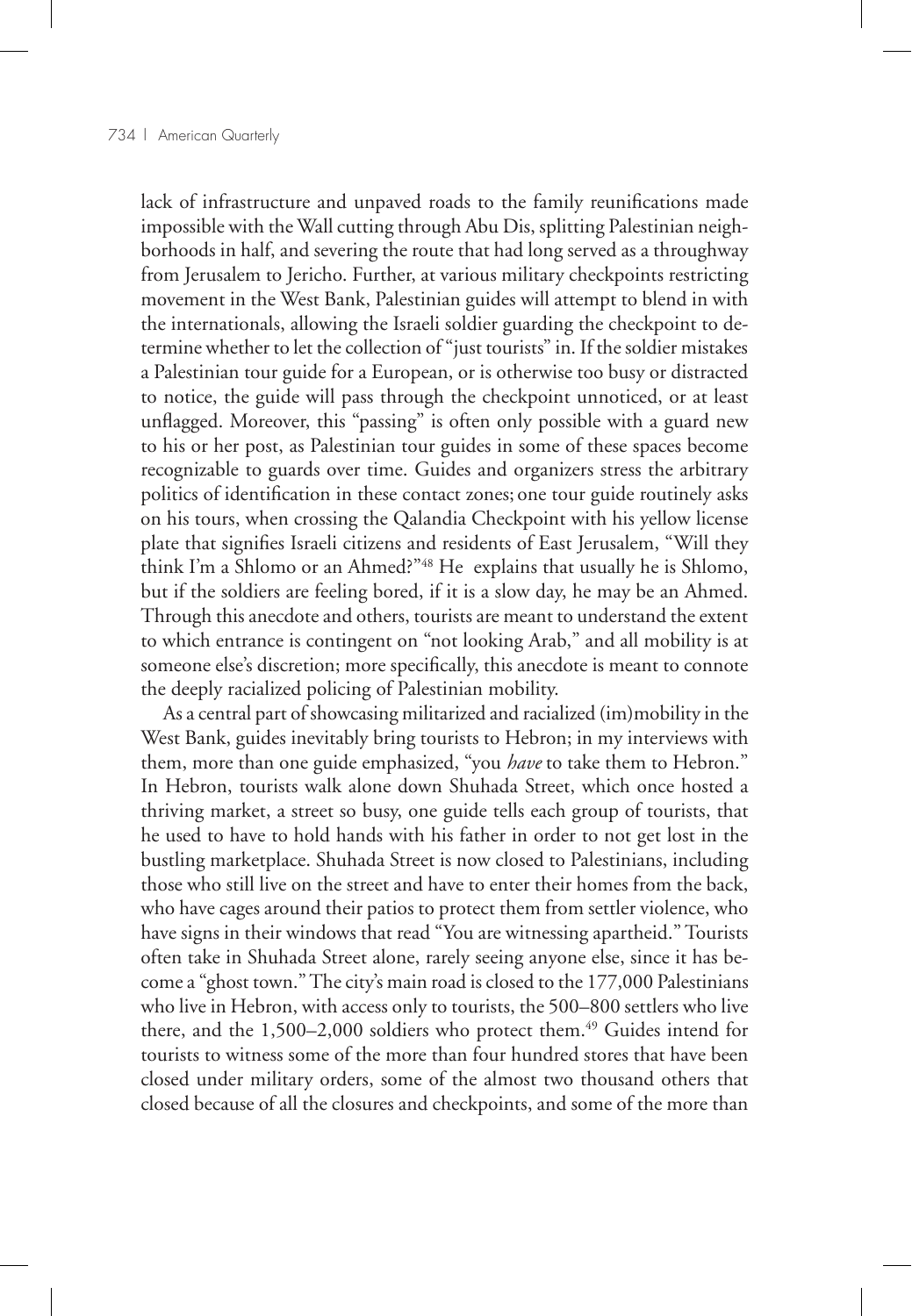lack of infrastructure and unpaved roads to the family reunifications made impossible with the Wall cutting through Abu Dis, splitting Palestinian neighborhoods in half, and severing the route that had long served as a throughway from Jerusalem to Jericho. Further, at various military checkpoints restricting movement in the West Bank, Palestinian guides will attempt to blend in with the internationals, allowing the Israeli soldier guarding the checkpoint to determine whether to let the collection of "just tourists" in. If the soldier mistakes a Palestinian tour guide for a European, or is otherwise too busy or distracted to notice, the guide will pass through the checkpoint unnoticed, or at least unflagged. Moreover, this "passing" is often only possible with a guard new to his or her post, as Palestinian tour guides in some of these spaces become recognizable to guards over time. Guides and organizers stress the arbitrary politics of identification in these contact zones; one tour guide routinely asks on his tours, when crossing the Qalandia Checkpoint with his yellow license plate that signifies Israeli citizens and residents of East Jerusalem, "Will they think I'm a Shlomo or an Ahmed?"48 He explains that usually he is Shlomo, but if the soldiers are feeling bored, if it is a slow day, he may be an Ahmed. Through this anecdote and others, tourists are meant to understand the extent to which entrance is contingent on "not looking Arab," and all mobility is at someone else's discretion; more specifically, this anecdote is meant to connote the deeply racialized policing of Palestinian mobility.

As a central part of showcasing militarized and racialized (im)mobility in the West Bank, guides inevitably bring tourists to Hebron; in my interviews with them, more than one guide emphasized, "you *have* to take them to Hebron." In Hebron, tourists walk alone down Shuhada Street, which once hosted a thriving market, a street so busy, one guide tells each group of tourists, that he used to have to hold hands with his father in order to not get lost in the bustling marketplace. Shuhada Street is now closed to Palestinians, including those who still live on the street and have to enter their homes from the back, who have cages around their patios to protect them from settler violence, who have signs in their windows that read "You are witnessing apartheid." Tourists often take in Shuhada Street alone, rarely seeing anyone else, since it has become a "ghost town." The city's main road is closed to the 177,000 Palestinians who live in Hebron, with access only to tourists, the 500–800 settlers who live there, and the  $1,500-2,000$  soldiers who protect them.<sup>49</sup> Guides intend for tourists to witness some of the more than four hundred stores that have been closed under military orders, some of the almost two thousand others that closed because of all the closures and checkpoints, and some of the more than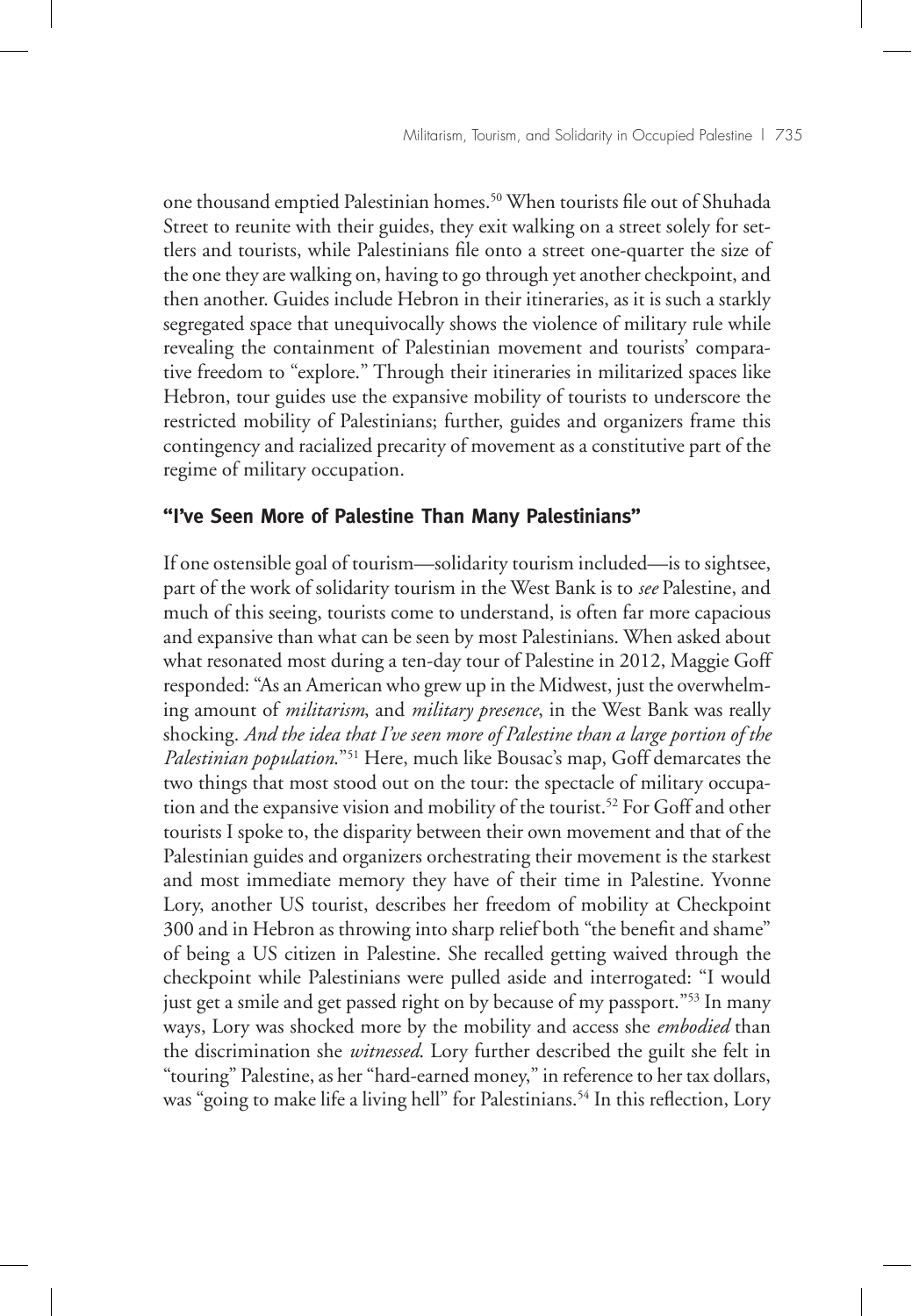one thousand emptied Palestinian homes.<sup>50</sup> When tourists file out of Shuhada Street to reunite with their guides, they exit walking on a street solely for settlers and tourists, while Palestinians file onto a street one-quarter the size of the one they are walking on, having to go through yet another checkpoint, and then another. Guides include Hebron in their itineraries, as it is such a starkly segregated space that unequivocally shows the violence of military rule while revealing the containment of Palestinian movement and tourists' comparative freedom to "explore." Through their itineraries in militarized spaces like Hebron, tour guides use the expansive mobility of tourists to underscore the restricted mobility of Palestinians; further, guides and organizers frame this contingency and racialized precarity of movement as a constitutive part of the regime of military occupation.

## **"I've Seen More of Palestine Than Many Palestinians"**

If one ostensible goal of tourism—solidarity tourism included—is to sightsee, part of the work of solidarity tourism in the West Bank is to *see* Palestine, and much of this seeing, tourists come to understand, is often far more capacious and expansive than what can be seen by most Palestinians. When asked about what resonated most during a ten-day tour of Palestine in 2012, Maggie Goff responded: "As an American who grew up in the Midwest, just the overwhelming amount of *militarism*, and *military presence*, in the West Bank was really shocking. *And the idea that I've seen more of Palestine than a large portion of the Palestinian population*."51 Here, much like Bousac's map, Goff demarcates the two things that most stood out on the tour: the spectacle of military occupation and the expansive vision and mobility of the tourist.<sup>52</sup> For Goff and other tourists I spoke to, the disparity between their own movement and that of the Palestinian guides and organizers orchestrating their movement is the starkest and most immediate memory they have of their time in Palestine. Yvonne Lory, another US tourist, describes her freedom of mobility at Checkpoint 300 and in Hebron as throwing into sharp relief both "the benefit and shame" of being a US citizen in Palestine. She recalled getting waived through the checkpoint while Palestinians were pulled aside and interrogated: "I would just get a smile and get passed right on by because of my passport."<sup>53</sup> In many ways, Lory was shocked more by the mobility and access she *embodied* than the discrimination she *witnessed*. Lory further described the guilt she felt in "touring" Palestine, as her "hard-earned money," in reference to her tax dollars, was "going to make life a living hell" for Palestinians.<sup>54</sup> In this reflection, Lory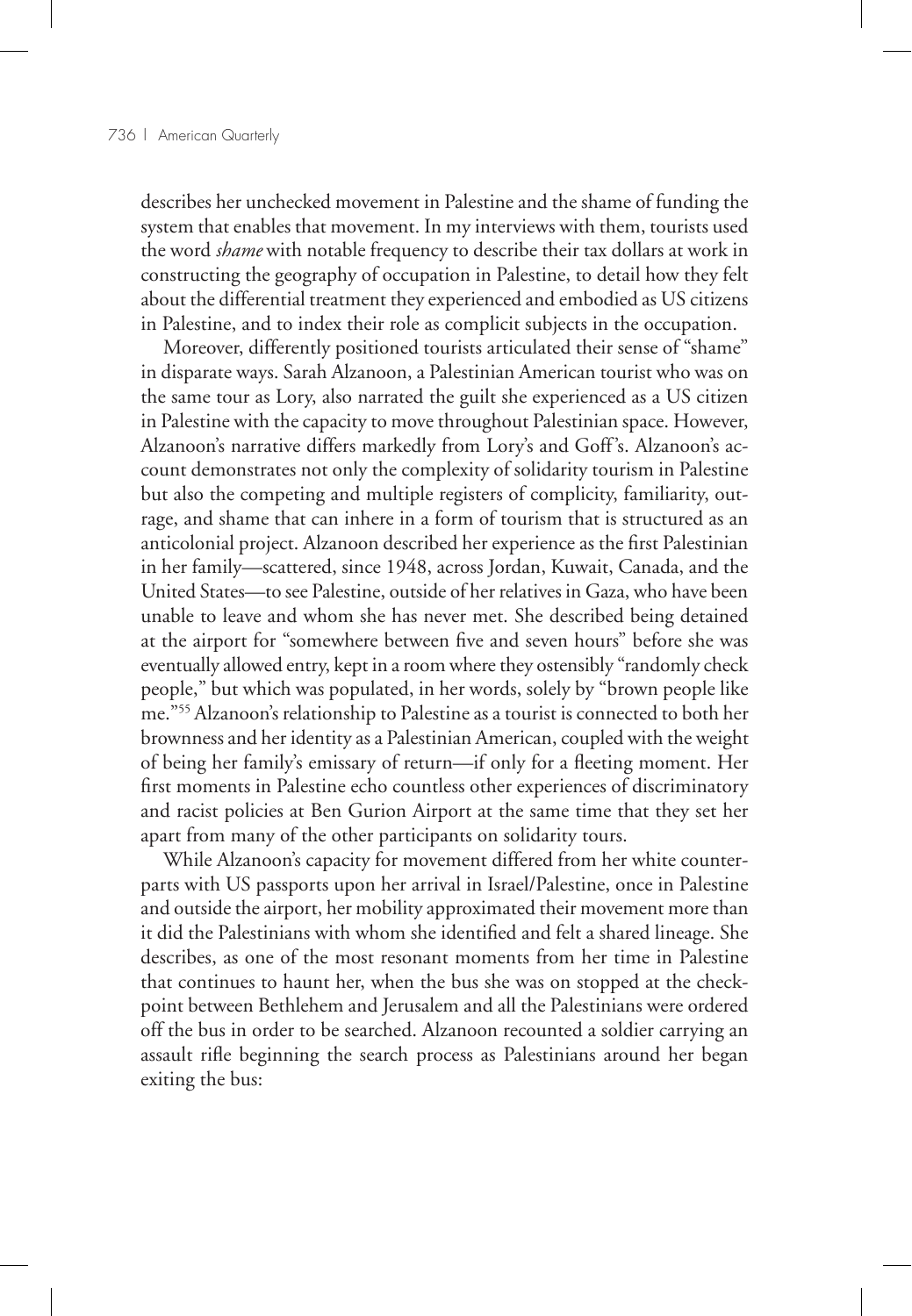describes her unchecked movement in Palestine and the shame of funding the system that enables that movement. In my interviews with them, tourists used the word *shame* with notable frequency to describe their tax dollars at work in constructing the geography of occupation in Palestine, to detail how they felt about the differential treatment they experienced and embodied as US citizens in Palestine, and to index their role as complicit subjects in the occupation.

Moreover, differently positioned tourists articulated their sense of "shame" in disparate ways. Sarah Alzanoon, a Palestinian American tourist who was on the same tour as Lory, also narrated the guilt she experienced as a US citizen in Palestine with the capacity to move throughout Palestinian space. However, Alzanoon's narrative differs markedly from Lory's and Goff's. Alzanoon's account demonstrates not only the complexity of solidarity tourism in Palestine but also the competing and multiple registers of complicity, familiarity, outrage, and shame that can inhere in a form of tourism that is structured as an anticolonial project. Alzanoon described her experience as the first Palestinian in her family—scattered, since 1948, across Jordan, Kuwait, Canada, and the United States—to see Palestine, outside of her relatives in Gaza, who have been unable to leave and whom she has never met. She described being detained at the airport for "somewhere between five and seven hours" before she was eventually allowed entry, kept in a room where they ostensibly "randomly check people," but which was populated, in her words, solely by "brown people like me."55 Alzanoon's relationship to Palestine as a tourist is connected to both her brownness and her identity as a Palestinian American, coupled with the weight of being her family's emissary of return—if only for a fleeting moment. Her first moments in Palestine echo countless other experiences of discriminatory and racist policies at Ben Gurion Airport at the same time that they set her apart from many of the other participants on solidarity tours.

While Alzanoon's capacity for movement differed from her white counterparts with US passports upon her arrival in Israel/Palestine, once in Palestine and outside the airport, her mobility approximated their movement more than it did the Palestinians with whom she identified and felt a shared lineage. She describes, as one of the most resonant moments from her time in Palestine that continues to haunt her, when the bus she was on stopped at the checkpoint between Bethlehem and Jerusalem and all the Palestinians were ordered off the bus in order to be searched. Alzanoon recounted a soldier carrying an assault rifle beginning the search process as Palestinians around her began exiting the bus: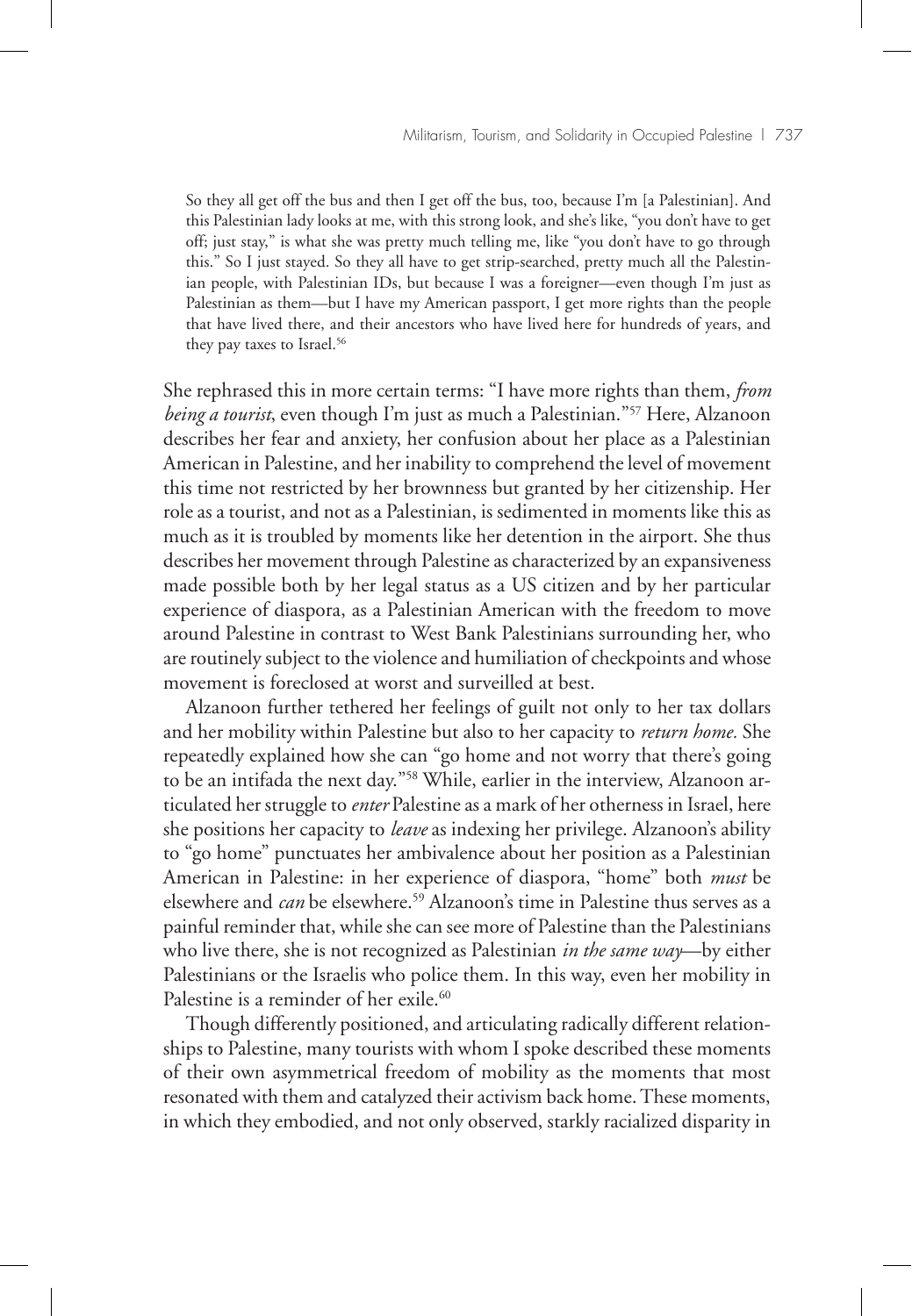So they all get off the bus and then I get off the bus, too, because I'm [a Palestinian]. And this Palestinian lady looks at me, with this strong look, and she's like, "you don't have to get off; just stay," is what she was pretty much telling me, like "you don't have to go through this." So I just stayed. So they all have to get strip-searched, pretty much all the Palestinian people, with Palestinian IDs, but because I was a foreigner—even though I'm just as Palestinian as them—but I have my American passport, I get more rights than the people that have lived there, and their ancestors who have lived here for hundreds of years, and they pay taxes to Israel.<sup>56</sup>

She rephrased this in more certain terms: "I have more rights than them, *from being a tourist*, even though I'm just as much a Palestinian."57 Here, Alzanoon describes her fear and anxiety, her confusion about her place as a Palestinian American in Palestine, and her inability to comprehend the level of movement this time not restricted by her brownness but granted by her citizenship. Her role as a tourist, and not as a Palestinian, is sedimented in moments like this as much as it is troubled by moments like her detention in the airport. She thus describes her movement through Palestine as characterized by an expansiveness made possible both by her legal status as a US citizen and by her particular experience of diaspora, as a Palestinian American with the freedom to move around Palestine in contrast to West Bank Palestinians surrounding her, who are routinely subject to the violence and humiliation of checkpoints and whose movement is foreclosed at worst and surveilled at best.

Alzanoon further tethered her feelings of guilt not only to her tax dollars and her mobility within Palestine but also to her capacity to *return home.* She repeatedly explained how she can "go home and not worry that there's going to be an intifada the next day."58 While, earlier in the interview, Alzanoon articulated her struggle to *enter* Palestine as a mark of her otherness in Israel, here she positions her capacity to *leave* as indexing her privilege. Alzanoon's ability to "go home" punctuates her ambivalence about her position as a Palestinian American in Palestine: in her experience of diaspora, "home" both *must* be elsewhere and *can* be elsewhere.59 Alzanoon's time in Palestine thus serves as a painful reminder that, while she can see more of Palestine than the Palestinians who live there, she is not recognized as Palestinian *in the same way*—by either Palestinians or the Israelis who police them. In this way, even her mobility in Palestine is a reminder of her exile.<sup>60</sup>

Though differently positioned, and articulating radically different relationships to Palestine, many tourists with whom I spoke described these moments of their own asymmetrical freedom of mobility as the moments that most resonated with them and catalyzed their activism back home. These moments, in which they embodied, and not only observed, starkly racialized disparity in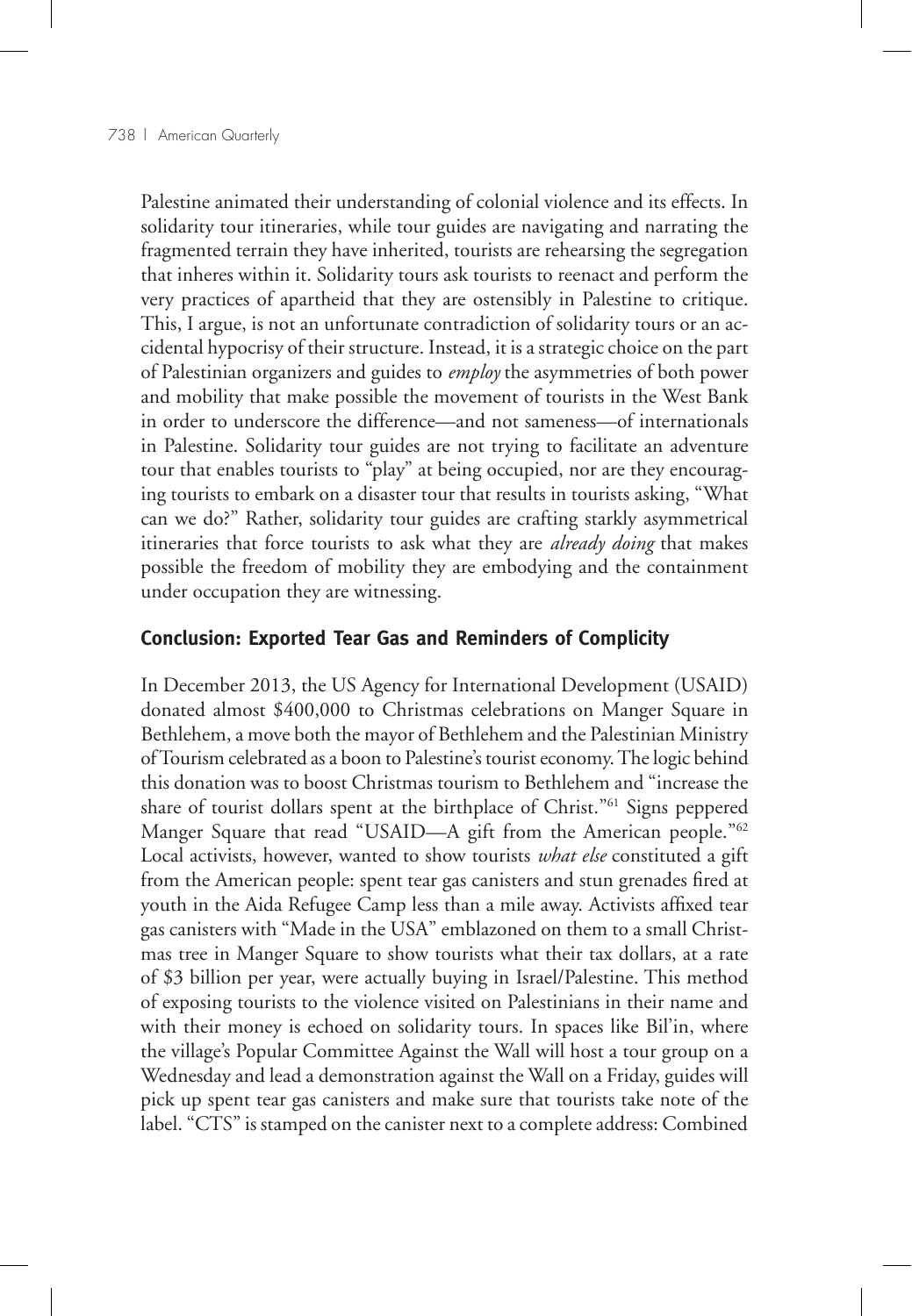Palestine animated their understanding of colonial violence and its effects. In solidarity tour itineraries, while tour guides are navigating and narrating the fragmented terrain they have inherited, tourists are rehearsing the segregation that inheres within it. Solidarity tours ask tourists to reenact and perform the very practices of apartheid that they are ostensibly in Palestine to critique. This, I argue, is not an unfortunate contradiction of solidarity tours or an accidental hypocrisy of their structure. Instead, it is a strategic choice on the part of Palestinian organizers and guides to *employ* the asymmetries of both power and mobility that make possible the movement of tourists in the West Bank in order to underscore the difference—and not sameness—of internationals in Palestine. Solidarity tour guides are not trying to facilitate an adventure tour that enables tourists to "play" at being occupied, nor are they encouraging tourists to embark on a disaster tour that results in tourists asking, "What can we do?" Rather, solidarity tour guides are crafting starkly asymmetrical itineraries that force tourists to ask what they are *already doing* that makes possible the freedom of mobility they are embodying and the containment under occupation they are witnessing.

## **Conclusion: Exported Tear Gas and Reminders of Complicity**

In December 2013, the US Agency for International Development (USAID) donated almost \$400,000 to Christmas celebrations on Manger Square in Bethlehem, a move both the mayor of Bethlehem and the Palestinian Ministry of Tourism celebrated as a boon to Palestine's tourist economy. The logic behind this donation was to boost Christmas tourism to Bethlehem and "increase the share of tourist dollars spent at the birthplace of Christ."61 Signs peppered Manger Square that read "USAID—A gift from the American people."62 Local activists, however, wanted to show tourists *what else* constituted a gift from the American people: spent tear gas canisters and stun grenades fired at youth in the Aida Refugee Camp less than a mile away. Activists affixed tear gas canisters with "Made in the USA" emblazoned on them to a small Christmas tree in Manger Square to show tourists what their tax dollars, at a rate of \$3 billion per year, were actually buying in Israel/Palestine. This method of exposing tourists to the violence visited on Palestinians in their name and with their money is echoed on solidarity tours. In spaces like Bil'in, where the village's Popular Committee Against the Wall will host a tour group on a Wednesday and lead a demonstration against the Wall on a Friday, guides will pick up spent tear gas canisters and make sure that tourists take note of the label. "CTS" is stamped on the canister next to a complete address: Combined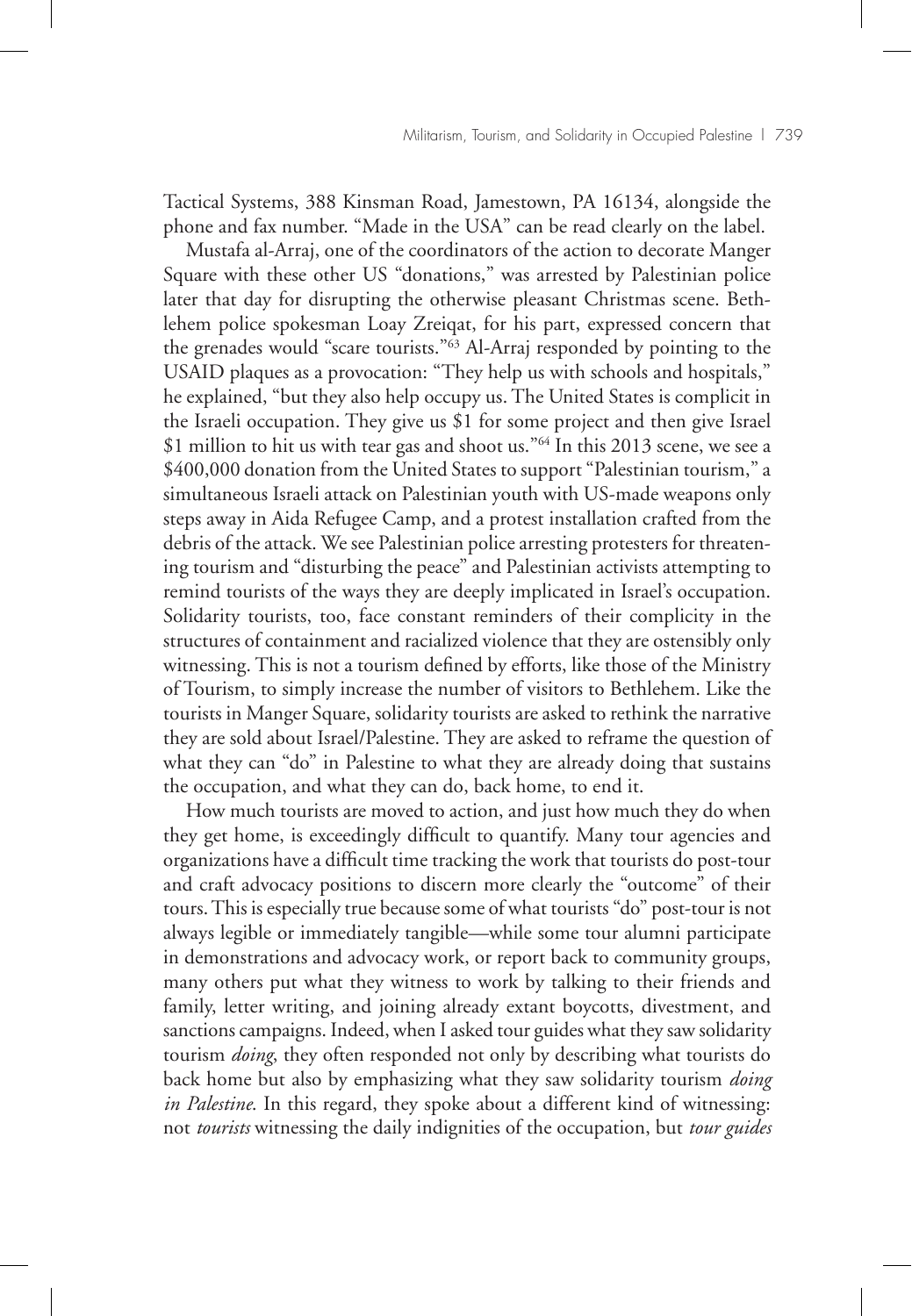Tactical Systems, 388 Kinsman Road, Jamestown, PA 16134, alongside the phone and fax number. "Made in the USA" can be read clearly on the label.

Mustafa al-Arraj, one of the coordinators of the action to decorate Manger Square with these other US "donations," was arrested by Palestinian police later that day for disrupting the otherwise pleasant Christmas scene. Bethlehem police spokesman Loay Zreiqat, for his part, expressed concern that the grenades would "scare tourists."63 Al-Arraj responded by pointing to the USAID plaques as a provocation: "They help us with schools and hospitals," he explained, "but they also help occupy us. The United States is complicit in the Israeli occupation. They give us \$1 for some project and then give Israel \$1 million to hit us with tear gas and shoot us."<sup>64</sup> In this 2013 scene, we see a \$400,000 donation from the United States to support "Palestinian tourism," a simultaneous Israeli attack on Palestinian youth with US-made weapons only steps away in Aida Refugee Camp, and a protest installation crafted from the debris of the attack. We see Palestinian police arresting protesters for threatening tourism and "disturbing the peace" and Palestinian activists attempting to remind tourists of the ways they are deeply implicated in Israel's occupation. Solidarity tourists, too, face constant reminders of their complicity in the structures of containment and racialized violence that they are ostensibly only witnessing. This is not a tourism defined by efforts, like those of the Ministry of Tourism, to simply increase the number of visitors to Bethlehem. Like the tourists in Manger Square, solidarity tourists are asked to rethink the narrative they are sold about Israel/Palestine. They are asked to reframe the question of what they can "do" in Palestine to what they are already doing that sustains the occupation, and what they can do, back home, to end it.

How much tourists are moved to action, and just how much they do when they get home, is exceedingly difficult to quantify. Many tour agencies and organizations have a difficult time tracking the work that tourists do post-tour and craft advocacy positions to discern more clearly the "outcome" of their tours. This is especially true because some of what tourists "do" post-tour is not always legible or immediately tangible—while some tour alumni participate in demonstrations and advocacy work, or report back to community groups, many others put what they witness to work by talking to their friends and family, letter writing, and joining already extant boycotts, divestment, and sanctions campaigns. Indeed, when I asked tour guides what they saw solidarity tourism *doing*, they often responded not only by describing what tourists do back home but also by emphasizing what they saw solidarity tourism *doing in Palestine*. In this regard, they spoke about a different kind of witnessing: not *tourists* witnessing the daily indignities of the occupation, but *tour guides*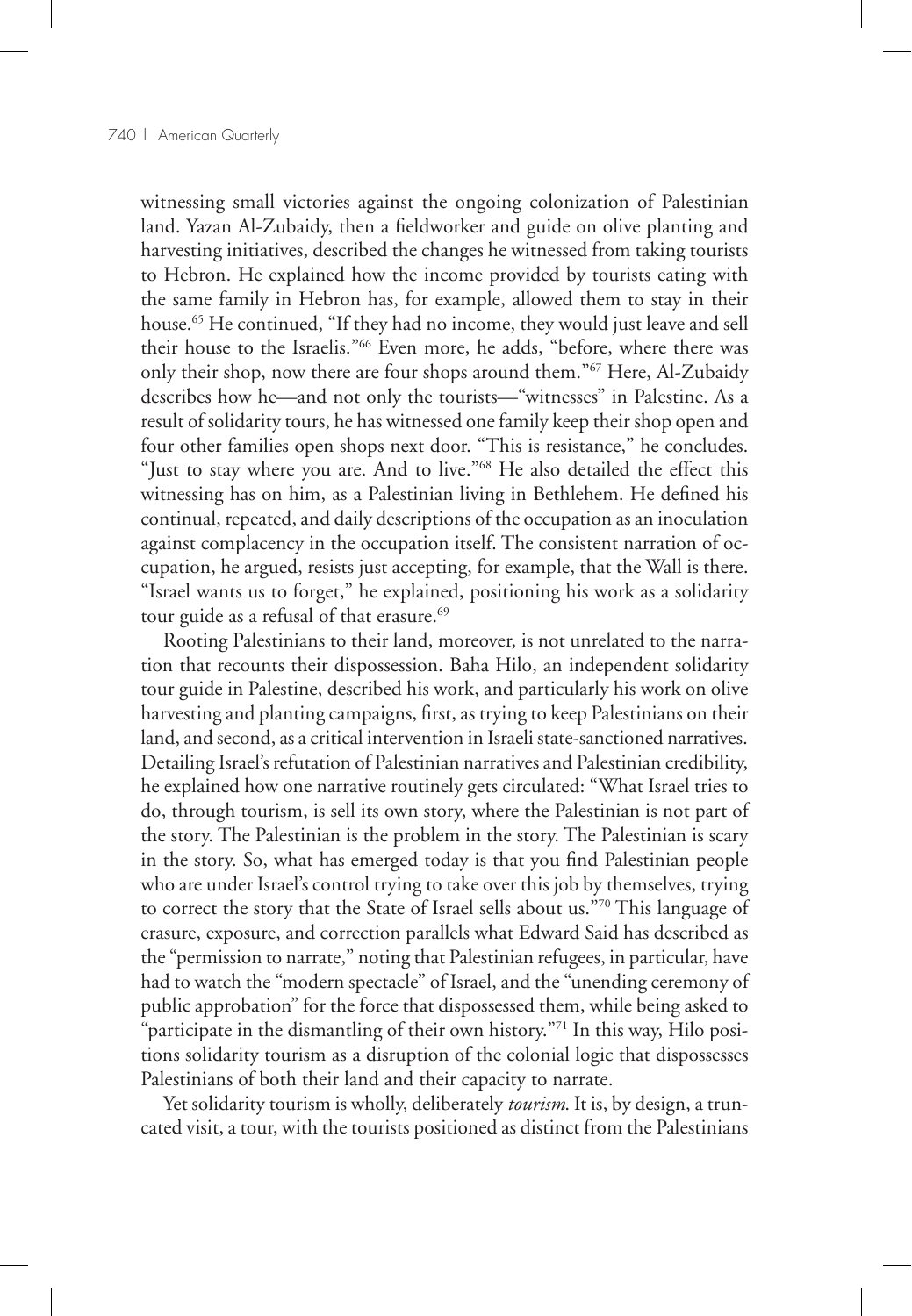witnessing small victories against the ongoing colonization of Palestinian land. Yazan Al-Zubaidy, then a fieldworker and guide on olive planting and harvesting initiatives, described the changes he witnessed from taking tourists to Hebron. He explained how the income provided by tourists eating with the same family in Hebron has, for example, allowed them to stay in their house.65 He continued, "If they had no income, they would just leave and sell their house to the Israelis."66 Even more, he adds, "before, where there was only their shop, now there are four shops around them."67 Here, Al-Zubaidy describes how he—and not only the tourists—"witnesses" in Palestine. As a result of solidarity tours, he has witnessed one family keep their shop open and four other families open shops next door. "This is resistance," he concludes. "Just to stay where you are. And to live."68 He also detailed the effect this witnessing has on him, as a Palestinian living in Bethlehem. He defined his continual, repeated, and daily descriptions of the occupation as an inoculation against complacency in the occupation itself. The consistent narration of occupation, he argued, resists just accepting, for example, that the Wall is there. "Israel wants us to forget," he explained, positioning his work as a solidarity tour guide as a refusal of that erasure.<sup>69</sup>

Rooting Palestinians to their land, moreover, is not unrelated to the narration that recounts their dispossession. Baha Hilo, an independent solidarity tour guide in Palestine, described his work, and particularly his work on olive harvesting and planting campaigns, first, as trying to keep Palestinians on their land, and second, as a critical intervention in Israeli state-sanctioned narratives. Detailing Israel's refutation of Palestinian narratives and Palestinian credibility, he explained how one narrative routinely gets circulated: "What Israel tries to do, through tourism, is sell its own story, where the Palestinian is not part of the story. The Palestinian is the problem in the story. The Palestinian is scary in the story. So, what has emerged today is that you find Palestinian people who are under Israel's control trying to take over this job by themselves, trying to correct the story that the State of Israel sells about us."70 This language of erasure, exposure, and correction parallels what Edward Said has described as the "permission to narrate," noting that Palestinian refugees, in particular, have had to watch the "modern spectacle" of Israel, and the "unending ceremony of public approbation" for the force that dispossessed them, while being asked to "participate in the dismantling of their own history."<sup>71</sup> In this way, Hilo positions solidarity tourism as a disruption of the colonial logic that dispossesses Palestinians of both their land and their capacity to narrate.

Yet solidarity tourism is wholly, deliberately *tourism*. It is, by design, a truncated visit, a tour, with the tourists positioned as distinct from the Palestinians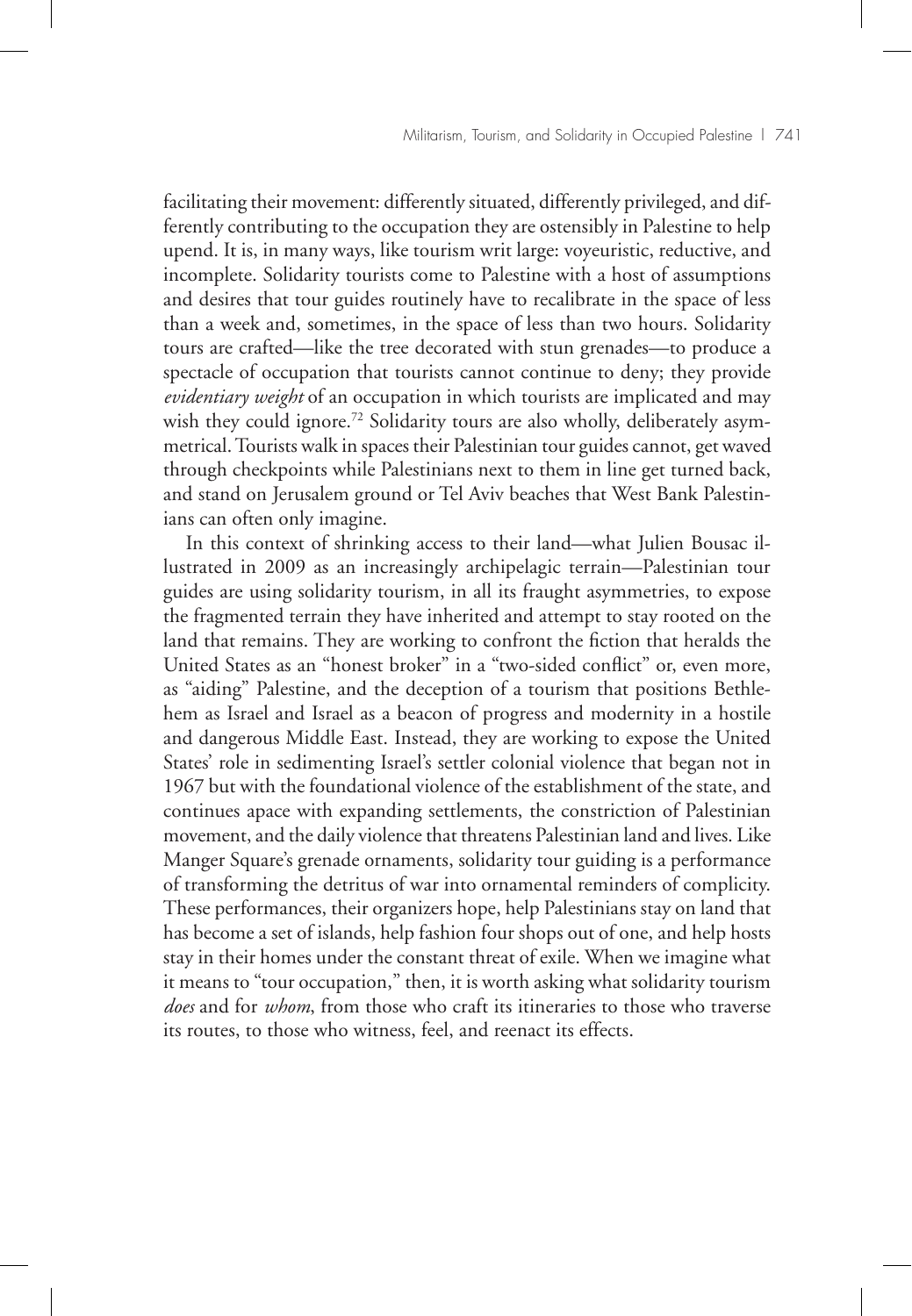facilitating their movement: differently situated, differently privileged, and differently contributing to the occupation they are ostensibly in Palestine to help upend. It is, in many ways, like tourism writ large: voyeuristic, reductive, and incomplete. Solidarity tourists come to Palestine with a host of assumptions and desires that tour guides routinely have to recalibrate in the space of less than a week and, sometimes, in the space of less than two hours. Solidarity tours are crafted—like the tree decorated with stun grenades—to produce a spectacle of occupation that tourists cannot continue to deny; they provide *evidentiary weight* of an occupation in which tourists are implicated and may wish they could ignore.<sup>72</sup> Solidarity tours are also wholly, deliberately asymmetrical. Tourists walk in spaces their Palestinian tour guides cannot, get waved through checkpoints while Palestinians next to them in line get turned back, and stand on Jerusalem ground or Tel Aviv beaches that West Bank Palestinians can often only imagine.

In this context of shrinking access to their land—what Julien Bousac illustrated in 2009 as an increasingly archipelagic terrain—Palestinian tour guides are using solidarity tourism, in all its fraught asymmetries, to expose the fragmented terrain they have inherited and attempt to stay rooted on the land that remains. They are working to confront the fiction that heralds the United States as an "honest broker" in a "two-sided conflict" or, even more, as "aiding" Palestine, and the deception of a tourism that positions Bethlehem as Israel and Israel as a beacon of progress and modernity in a hostile and dangerous Middle East. Instead, they are working to expose the United States' role in sedimenting Israel's settler colonial violence that began not in 1967 but with the foundational violence of the establishment of the state, and continues apace with expanding settlements, the constriction of Palestinian movement, and the daily violence that threatens Palestinian land and lives. Like Manger Square's grenade ornaments, solidarity tour guiding is a performance of transforming the detritus of war into ornamental reminders of complicity. These performances, their organizers hope, help Palestinians stay on land that has become a set of islands, help fashion four shops out of one, and help hosts stay in their homes under the constant threat of exile. When we imagine what it means to "tour occupation," then, it is worth asking what solidarity tourism *does* and for *whom*, from those who craft its itineraries to those who traverse its routes, to those who witness, feel, and reenact its effects.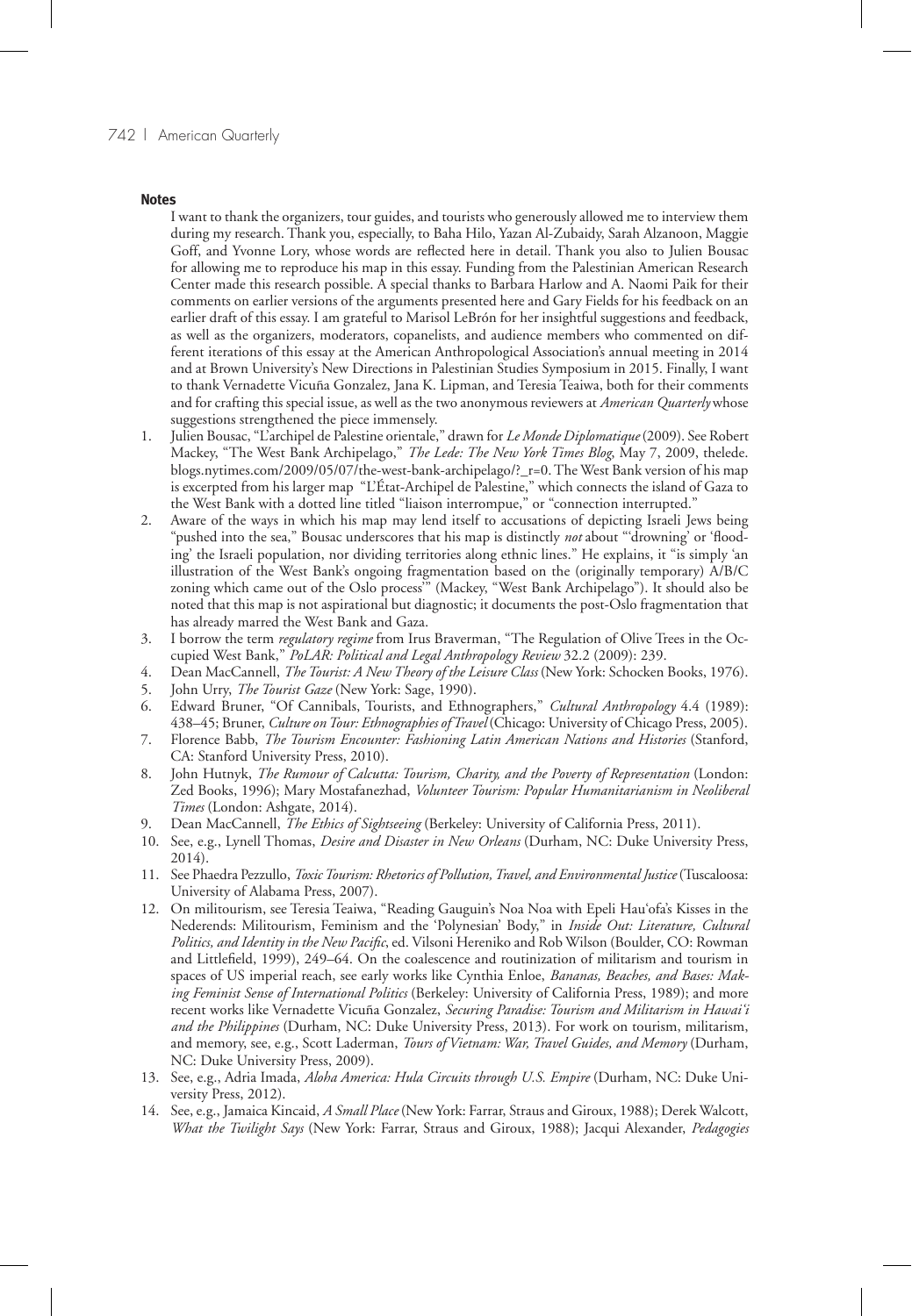#### **Notes**

I want to thank the organizers, tour guides, and tourists who generously allowed me to interview them during my research. Thank you, especially, to Baha Hilo, Yazan Al-Zubaidy, Sarah Alzanoon, Maggie Goff, and Yvonne Lory, whose words are reflected here in detail. Thank you also to Julien Bousac for allowing me to reproduce his map in this essay. Funding from the Palestinian American Research Center made this research possible. A special thanks to Barbara Harlow and A. Naomi Paik for their comments on earlier versions of the arguments presented here and Gary Fields for his feedback on an earlier draft of this essay. I am grateful to Marisol LeBrón for her insightful suggestions and feedback, as well as the organizers, moderators, copanelists, and audience members who commented on different iterations of this essay at the American Anthropological Association's annual meeting in 2014 and at Brown University's New Directions in Palestinian Studies Symposium in 2015. Finally, I want to thank Vernadette Vicuña Gonzalez, Jana K. Lipman, and Teresia Teaiwa, both for their comments and for crafting this special issue, as well as the two anonymous reviewers at *American Quarterly* whose suggestions strengthened the piece immensely.

- 1. Julien Bousac, "L'archipel de Palestine orientale," drawn for *Le Monde Diplomatique* (2009). See Robert Mackey, "The West Bank Archipelago," *The Lede: The New York Times Blog*, May 7, 2009, thelede. blogs.nytimes.com/2009/05/07/the-west-bank-archipelago/?\_r=0. The West Bank version of his map is excerpted from his larger map "L'État-Archipel de Palestine," which connects the island of Gaza to the West Bank with a dotted line titled "liaison interrompue," or "connection interrupted."
- 2. Aware of the ways in which his map may lend itself to accusations of depicting Israeli Jews being "pushed into the sea," Bousac underscores that his map is distinctly *not* about "'drowning' or 'flooding' the Israeli population, nor dividing territories along ethnic lines." He explains, it "is simply 'an illustration of the West Bank's ongoing fragmentation based on the (originally temporary) A/B/C zoning which came out of the Oslo process'" (Mackey, "West Bank Archipelago"). It should also be noted that this map is not aspirational but diagnostic; it documents the post-Oslo fragmentation that has already marred the West Bank and Gaza.
- 3. I borrow the term *regulatory regime* from Irus Braverman, "The Regulation of Olive Trees in the Occupied West Bank," *PoLAR: Political and Legal Anthropology Review* 32.2 (2009): 239.
- 4. Dean MacCannell, *The Tourist: A New Theory of the Leisure Class* (New York: Schocken Books, 1976).
- 5. John Urry, *The Tourist Gaze* (New York: Sage, 1990).
- 6. Edward Bruner, "Of Cannibals, Tourists, and Ethnographers," *Cultural Anthropology* 4.4 (1989): 438–45; Bruner, *Culture on Tour: Ethnographies of Travel* (Chicago: University of Chicago Press, 2005).
- 7. Florence Babb, *The Tourism Encounter: Fashioning Latin American Nations and Histories* (Stanford, CA: Stanford University Press, 2010).
- 8. John Hutnyk, *The Rumour of Calcutta: Tourism, Charity, and the Poverty of Representation* (London: Zed Books, 1996); Mary Mostafanezhad, *Volunteer Tourism: Popular Humanitarianism in Neoliberal Times* (London: Ashgate, 2014).
- 9. Dean MacCannell, *The Ethics of Sightseeing* (Berkeley: University of California Press, 2011).
- 10. See, e.g., Lynell Thomas, *Desire and Disaster in New Orleans* (Durham, NC: Duke University Press, 2014).
- 11. See Phaedra Pezzullo, *Toxic Tourism: Rhetorics of Pollution, Travel, and Environmental Justice* (Tuscaloosa: University of Alabama Press, 2007).
- 12. On militourism, see Teresia Teaiwa, "Reading Gauguin's Noa Noa with Epeli Hau'ofa's Kisses in the Nederends: Militourism, Feminism and the 'Polynesian' Body," in *Inside Out: Literature, Cultural Politics, and Identity in the New Pacific*, ed. Vilsoni Hereniko and Rob Wilson (Boulder, CO: Rowman and Littlefield, 1999), 249–64. On the coalescence and routinization of militarism and tourism in spaces of US imperial reach, see early works like Cynthia Enloe, *Bananas, Beaches, and Bases: Making Feminist Sense of International Politics* (Berkeley: University of California Press, 1989); and more recent works like Vernadette Vicuña Gonzalez, *Securing Paradise: Tourism and Militarism in Hawai'i and the Philippines* (Durham, NC: Duke University Press, 2013). For work on tourism, militarism, and memory, see, e.g., Scott Laderman, *Tours of Vietnam: War, Travel Guides, and Memory* (Durham, NC: Duke University Press, 2009).
- 13. See, e.g., Adria Imada, *Aloha America: Hula Circuits through U.S. Empire* (Durham, NC: Duke University Press, 2012).
- 14. See, e.g., Jamaica Kincaid, *A Small Place* (New York: Farrar, Straus and Giroux, 1988); Derek Walcott, *What the Twilight Says* (New York: Farrar, Straus and Giroux, 1988); Jacqui Alexander, *Pedagogies*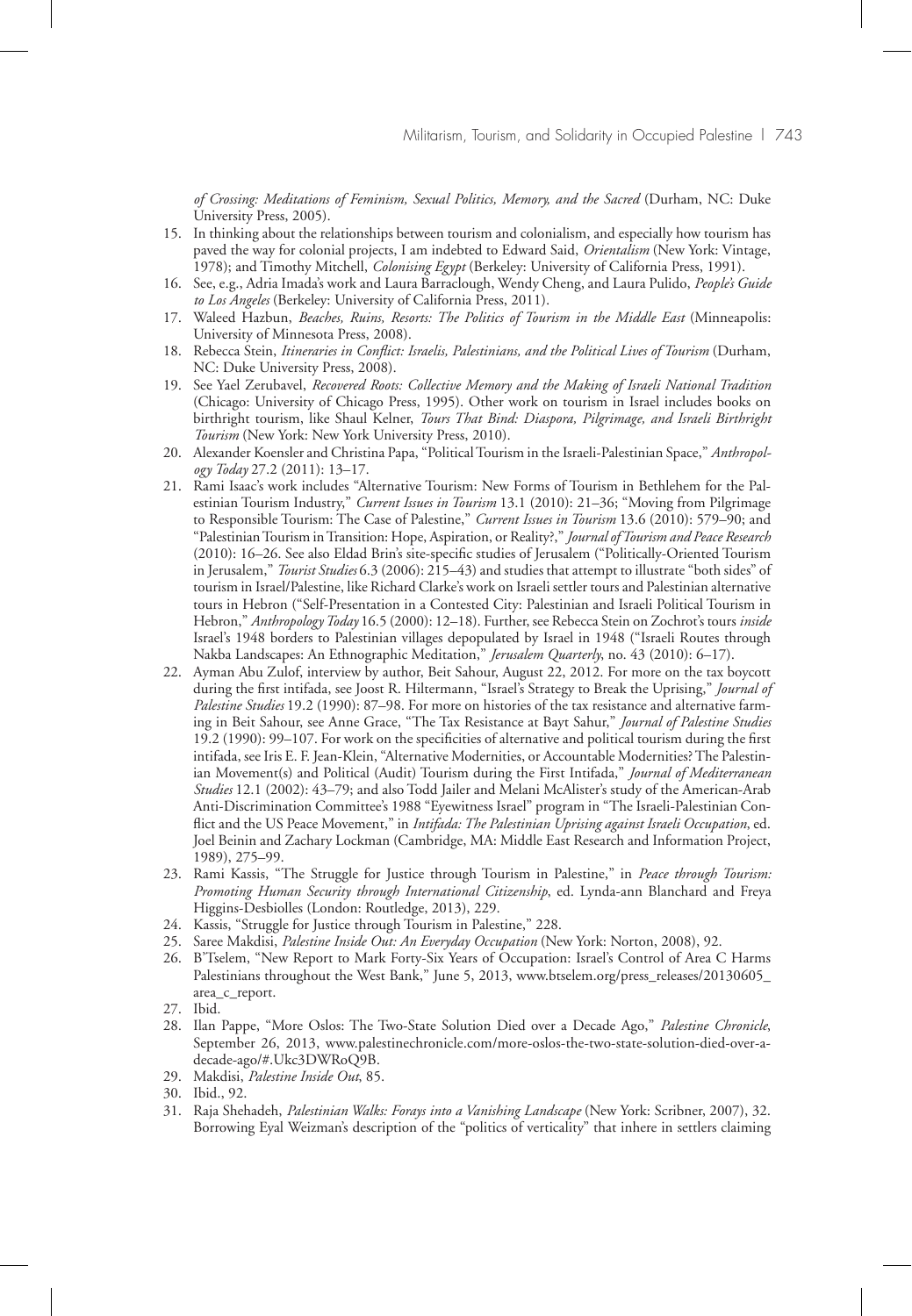*of Crossing: Meditations of Feminism, Sexual Politics, Memory, and the Sacred* (Durham, NC: Duke University Press, 2005).

- 15. In thinking about the relationships between tourism and colonialism, and especially how tourism has paved the way for colonial projects, I am indebted to Edward Said, *Orientalism* (New York: Vintage, 1978); and Timothy Mitchell, *Colonising Egypt* (Berkeley: University of California Press, 1991).
- 16. See, e.g., Adria Imada's work and Laura Barraclough, Wendy Cheng, and Laura Pulido, *People's Guide to Los Angeles* (Berkeley: University of California Press, 2011).
- 17. Waleed Hazbun, *Beaches, Ruins, Resorts: The Politics of Tourism in the Middle East* (Minneapolis: University of Minnesota Press, 2008).
- 18. Rebecca Stein, *Itineraries in Conflict: Israelis, Palestinians, and the Political Lives of Tourism* (Durham, NC: Duke University Press, 2008).
- 19. See Yael Zerubavel, *Recovered Roots: Collective Memory and the Making of Israeli National Tradition*  (Chicago: University of Chicago Press, 1995). Other work on tourism in Israel includes books on birthright tourism, like Shaul Kelner, *Tours That Bind: Diaspora, Pilgrimage, and Israeli Birthright Tourism* (New York: New York University Press, 2010).
- 20. Alexander Koensler and Christina Papa, "Political Tourism in the Israeli-Palestinian Space," *Anthropology Today* 27.2 (2011): 13–17.
- 21. Rami Isaac's work includes "Alternative Tourism: New Forms of Tourism in Bethlehem for the Palestinian Tourism Industry," *Current Issues in Tourism* 13.1 (2010): 21–36; "Moving from Pilgrimage to Responsible Tourism: The Case of Palestine," *Current Issues in Tourism* 13.6 (2010): 579–90; and "Palestinian Tourism in Transition: Hope, Aspiration, or Reality?," *Journal of Tourism and Peace Research*  (2010): 16–26. See also Eldad Brin's site-specific studies of Jerusalem ("Politically-Oriented Tourism in Jerusalem," *Tourist Studies* 6.3 (2006): 215–43) and studies that attempt to illustrate "both sides" of tourism in Israel/Palestine, like Richard Clarke's work on Israeli settler tours and Palestinian alternative tours in Hebron ("Self-Presentation in a Contested City: Palestinian and Israeli Political Tourism in Hebron," *Anthropology Today* 16.5 (2000): 12–18). Further, see Rebecca Stein on Zochrot's tours *inside* Israel's 1948 borders to Palestinian villages depopulated by Israel in 1948 ("Israeli Routes through Nakba Landscapes: An Ethnographic Meditation," *Jerusalem Quarterly*, no. 43 (2010): 6–17).
- 22. Ayman Abu Zulof, interview by author, Beit Sahour, August 22, 2012. For more on the tax boycott during the first intifada, see Joost R. Hiltermann, "Israel's Strategy to Break the Uprising," *Journal of Palestine Studies* 19.2 (1990): 87–98. For more on histories of the tax resistance and alternative farming in Beit Sahour, see Anne Grace, "The Tax Resistance at Bayt Sahur," *Journal of Palestine Studies* 19.2 (1990): 99–107. For work on the specificities of alternative and political tourism during the first intifada, see Iris E. F. Jean-Klein, "Alternative Modernities, or Accountable Modernities? The Palestinian Movement(s) and Political (Audit) Tourism during the First Intifada," *Journal of Mediterranean Studies* 12.1 (2002): 43–79; and also Todd Jailer and Melani McAlister's study of the American-Arab Anti-Discrimination Committee's 1988 "Eyewitness Israel" program in "The Israeli-Palestinian Conflict and the US Peace Movement," in *Intifada: The Palestinian Uprising against Israeli Occupation*, ed. Joel Beinin and Zachary Lockman (Cambridge, MA: Middle East Research and Information Project, 1989), 275–99.
- 23. Rami Kassis, "The Struggle for Justice through Tourism in Palestine," in *Peace through Tourism: Promoting Human Security through International Citizenship*, ed. Lynda-ann Blanchard and Freya Higgins-Desbiolles (London: Routledge, 2013), 229.
- 24. Kassis, "Struggle for Justice through Tourism in Palestine," 228.
- 25. Saree Makdisi, *Palestine Inside Out: An Everyday Occupation* (New York: Norton, 2008), 92.
- 26. B'Tselem, "New Report to Mark Forty-Six Years of Occupation: Israel's Control of Area C Harms Palestinians throughout the West Bank," June 5, 2013, www.btselem.org/press\_releases/20130605\_ area\_c\_report.
- 27. Ibid.
- 28. Ilan Pappe, "More Oslos: The Two-State Solution Died over a Decade Ago," *Palestine Chronicle*, September 26, 2013, www.palestinechronicle.com/more-oslos-the-two-state-solution-died-over-adecade-ago/#.Ukc3DWRoQ9B.
- 29. Makdisi, *Palestine Inside Out*, 85.

31. Raja Shehadeh, *Palestinian Walks: Forays into a Vanishing Landscape* (New York: Scribner, 2007), 32. Borrowing Eyal Weizman's description of the "politics of verticality" that inhere in settlers claiming

<sup>30.</sup> Ibid., 92.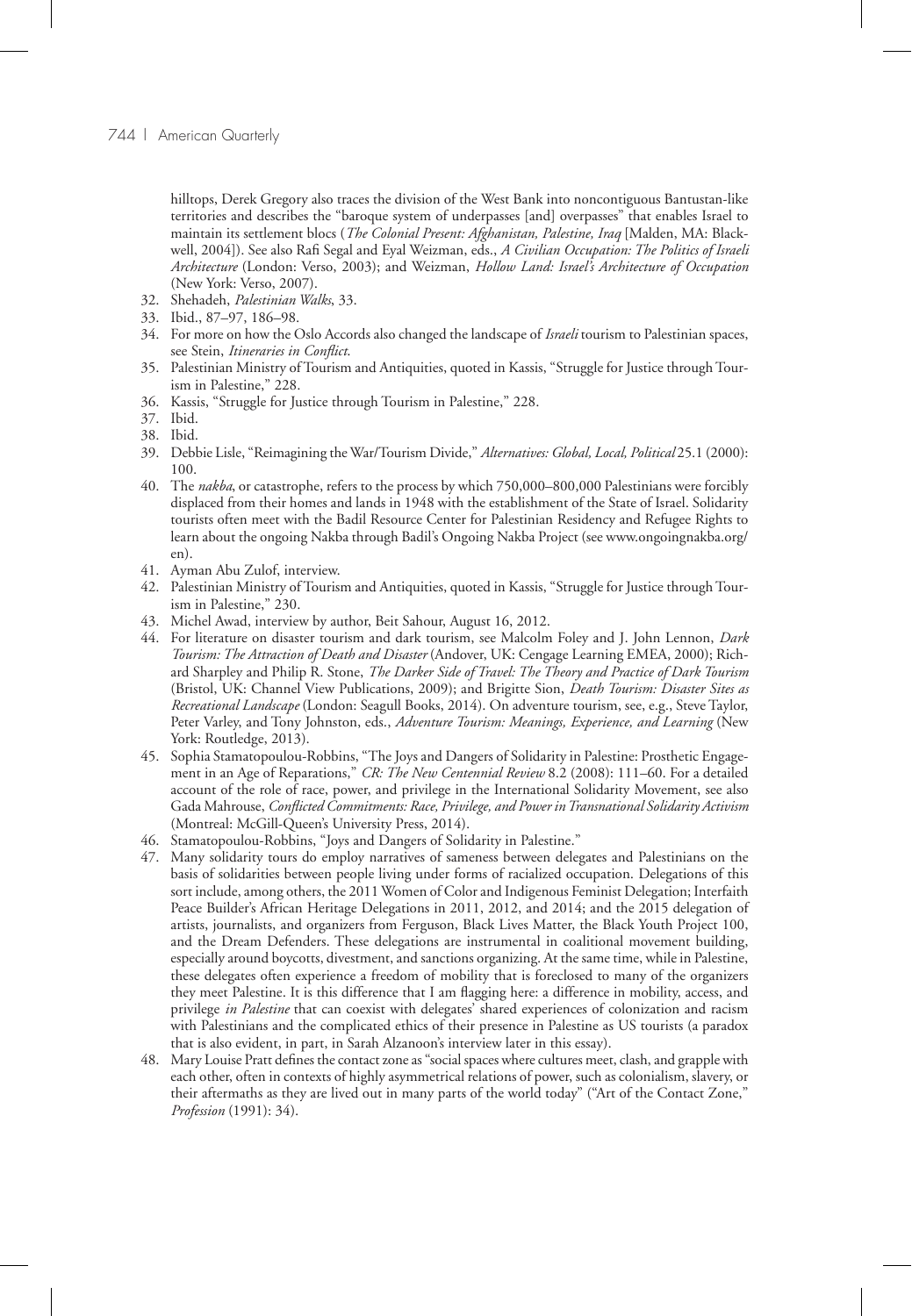hilltops, Derek Gregory also traces the division of the West Bank into noncontiguous Bantustan-like territories and describes the "baroque system of underpasses [and] overpasses" that enables Israel to maintain its settlement blocs (*The Colonial Present: Afghanistan, Palestine, Iraq* [Malden, MA: Blackwell, 2004]). See also Rafi Segal and Eyal Weizman, eds., *A Civilian Occupation: The Politics of Israeli Architecture* (London: Verso, 2003); and Weizman, *Hollow Land: Israel's Architecture of Occupation* (New York: Verso, 2007).

- 32. Shehadeh, *Palestinian Walks*, 33.
- 33. Ibid., 87–97, 186–98.
- 34. For more on how the Oslo Accords also changed the landscape of *Israeli* tourism to Palestinian spaces, see Stein, *Itineraries in Conflict*.
- 35. Palestinian Ministry of Tourism and Antiquities, quoted in Kassis, "Struggle for Justice through Tourism in Palestine," 228.
- 36. Kassis, "Struggle for Justice through Tourism in Palestine," 228.
- 37. Ibid.
- 38. Ibid.
- 39. Debbie Lisle, "Reimagining the War/Tourism Divide," *Alternatives: Global, Local, Political* 25.1 (2000): 100.
- 40. The *nakba*, or catastrophe, refers to the process by which 750,000–800,000 Palestinians were forcibly displaced from their homes and lands in 1948 with the establishment of the State of Israel. Solidarity tourists often meet with the Badil Resource Center for Palestinian Residency and Refugee Rights to learn about the ongoing Nakba through Badil's Ongoing Nakba Project (see www.ongoingnakba.org/ en).
- 41. Ayman Abu Zulof, interview.
- 42. Palestinian Ministry of Tourism and Antiquities, quoted in Kassis, "Struggle for Justice through Tourism in Palestine," 230.
- 43. Michel Awad, interview by author, Beit Sahour, August 16, 2012.
- 44. For literature on disaster tourism and dark tourism, see Malcolm Foley and J. John Lennon, *Dark Tourism: The Attraction of Death and Disaster* (Andover, UK: Cengage Learning EMEA, 2000); Richard Sharpley and Philip R. Stone, *The Darker Side of Travel: The Theory and Practice of Dark Tourism*  (Bristol, UK: Channel View Publications, 2009); and Brigitte Sion, *Death Tourism: Disaster Sites as Recreational Landscape* (London: Seagull Books, 2014). On adventure tourism, see, e.g., Steve Taylor, Peter Varley, and Tony Johnston, eds., *Adventure Tourism: Meanings, Experience, and Learning* (New York: Routledge, 2013).
- 45. Sophia Stamatopoulou-Robbins, "The Joys and Dangers of Solidarity in Palestine: Prosthetic Engagement in an Age of Reparations," *CR: The New Centennial Review* 8.2 (2008): 111–60. For a detailed account of the role of race, power, and privilege in the International Solidarity Movement, see also Gada Mahrouse, *Conflicted Commitments: Race, Privilege, and Power in Transnational Solidarity Activism*  (Montreal: McGill-Queen's University Press, 2014).
- 46. Stamatopoulou-Robbins, "Joys and Dangers of Solidarity in Palestine."
- 47. Many solidarity tours do employ narratives of sameness between delegates and Palestinians on the basis of solidarities between people living under forms of racialized occupation. Delegations of this sort include, among others, the 2011 Women of Color and Indigenous Feminist Delegation; Interfaith Peace Builder's African Heritage Delegations in 2011, 2012, and 2014; and the 2015 delegation of artists, journalists, and organizers from Ferguson, Black Lives Matter, the Black Youth Project 100, and the Dream Defenders. These delegations are instrumental in coalitional movement building, especially around boycotts, divestment, and sanctions organizing. At the same time, while in Palestine, these delegates often experience a freedom of mobility that is foreclosed to many of the organizers they meet Palestine. It is this difference that I am flagging here: a difference in mobility, access, and privilege *in Palestine* that can coexist with delegates' shared experiences of colonization and racism with Palestinians and the complicated ethics of their presence in Palestine as US tourists (a paradox that is also evident, in part, in Sarah Alzanoon's interview later in this essay).
- 48. Mary Louise Pratt defines the contact zone as "social spaces where cultures meet, clash, and grapple with each other, often in contexts of highly asymmetrical relations of power, such as colonialism, slavery, or their aftermaths as they are lived out in many parts of the world today" ("Art of the Contact Zone," *Profession* (1991): 34).